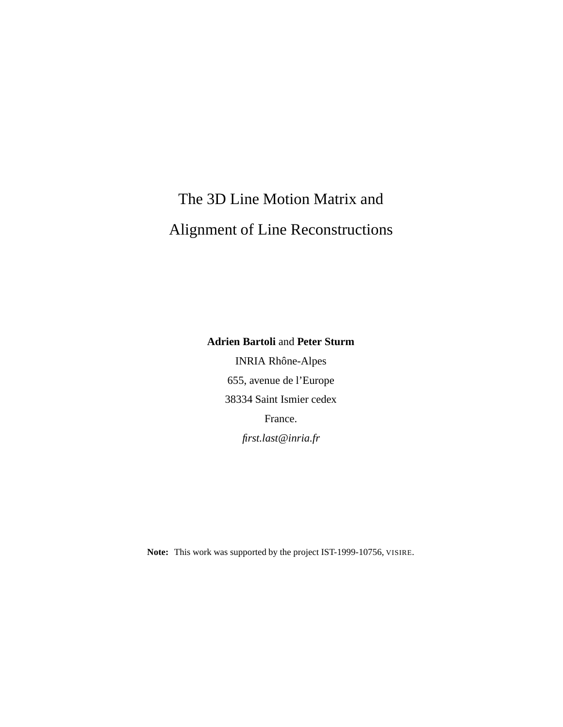# The 3D Line Motion Matrix and Alignment of Line Reconstructions

**Adrien Bartoli** and **Peter Sturm**

INRIA Rhône-Alpes 655, avenue de l'Europe 38334 Saint Ismier cedex France. *first.last@inria.fr*

**Note:** This work was supported by the project IST-1999-10756, VISIRE.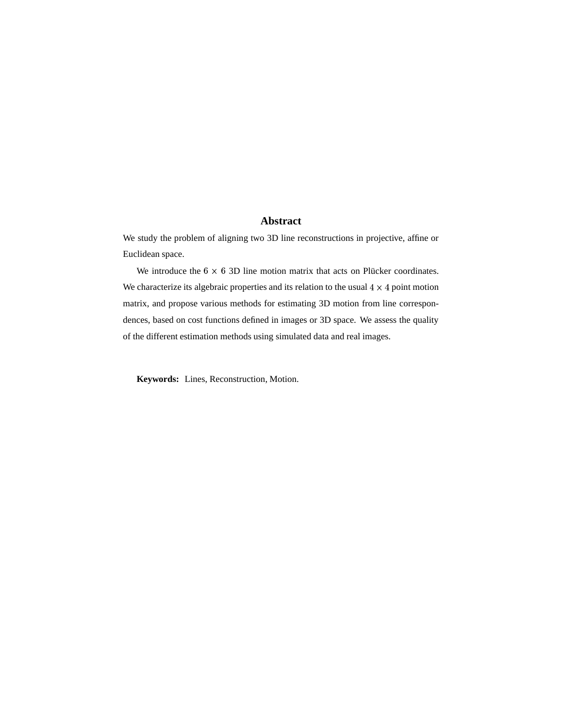#### **Abstract**

We study the problem of aligning two 3D line reconstructions in projective, affine or Euclidean space.

We introduce the  $6 \times 6$  3D line motion matrix that acts on Plücker coordinates. We characterize its algebraic properties and its relation to the usual  $4 \times 4$  point motion matrix, and propose various methods for estimating 3D motion from line correspondences, based on cost functions defined in images or 3D space. We assess the quality of the different estimation methods using simulated data and real images.

**Keywords:** Lines, Reconstruction, Motion.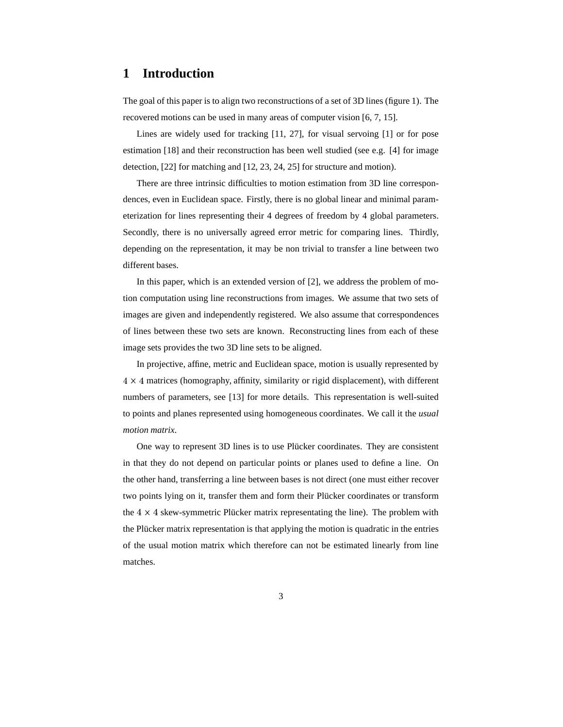# **1 Introduction**

The goal of this paper is to align two reconstructions of a set of 3D lines (figure 1). The recovered motions can be used in many areas of computer vision [6, 7, 15].

Lines are widely used for tracking [11, 27], for visual servoing [1] or for pose estimation [18] and their reconstruction has been well studied (see e.g. [4] for image detection, [22] for matching and [12, 23, 24, 25] for structure and motion).

There are three intrinsic difficulties to motion estimation from 3D line correspondences, even in Euclidean space. Firstly, there is no global linear and minimal parameterization for lines representing their 4 degrees of freedom by 4 global parameters. Secondly, there is no universally agreed error metric for comparing lines. Thirdly, depending on the representation, it may be non trivial to transfer a line between two different bases.

In this paper, which is an extended version of [2], we address the problem of motion computation using line reconstructions from images. We assume that two sets of images are given and independently registered. We also assume that correspondences of lines between these two sets are known. Reconstructing lines from each of these image sets provides the two 3D line sets to be aligned.

In projective, affine, metric and Euclidean space, motion is usually represented by  $4 \times 4$  matrices (homography, affinity, similarity or rigid displacement), with different numbers of parameters, see [13] for more details. This representation is well-suited to points and planes represented using homogeneous coordinates. We call it the *usual motion matrix*.

One way to represent 3D lines is to use Plücker coordinates. They are consistent in that they do not depend on particular points or planes used to define a line. On the other hand, transferring a line between bases is not direct (one must either recover two points lying on it, transfer them and form their Plücker coordinates or transform the  $4 \times 4$  skew-symmetric Plücker matrix representating the line). The problem with the Plücker matrix representation is that applying the motion is quadratic in the entries of the usual motion matrix which therefore can not be estimated linearly from line matches.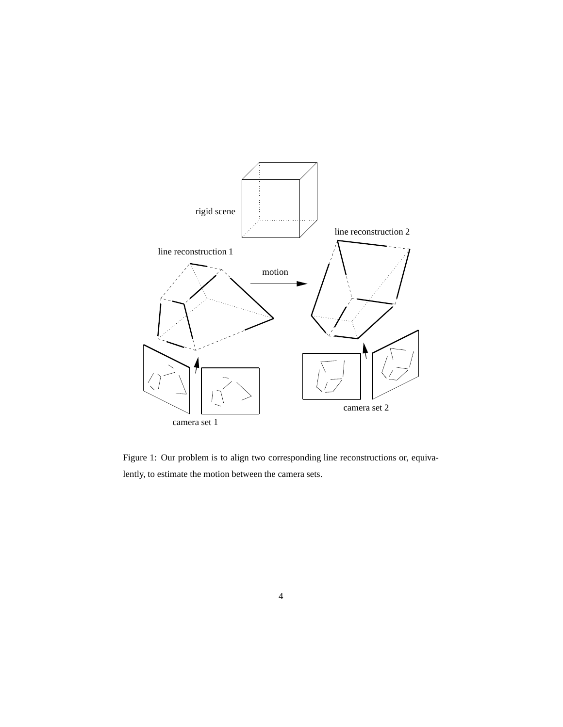

Figure 1: Our problem is to align two corresponding line reconstructions or, equivalently, to estimate the motion between the camera sets.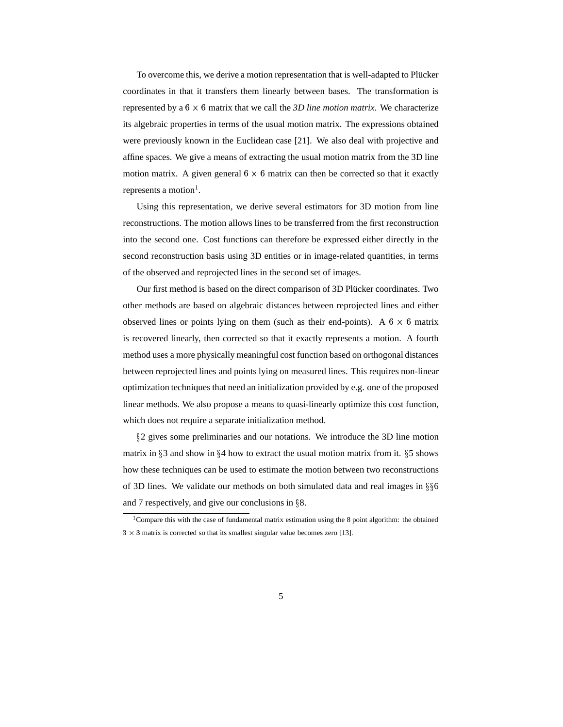To overcome this, we derive a motion representation that is well-adapted to Plücker coordinates in that it transfers them linearly between bases. The transformation is represented by a  $6 \times 6$  matrix that we call the *3D line motion matrix*. We characterize its algebraic properties in terms of the usual motion matrix. The expressions obtained were previously known in the Euclidean case [21]. We also deal with projective and affine spaces. We give a means of extracting the usual motion matrix from the 3D line motion matrix. A given general  $6 \times 6$  matrix can then be corrected so that it exactly represents a motion<sup>1</sup>.

Using this representation, we derive several estimators for 3D motion from line reconstructions. The motion allows lines to be transferred from the first reconstruction into the second one. Cost functions can therefore be expressed either directly in the second reconstruction basis using 3D entities or in image-related quantities, in terms of the observed and reprojected lines in the second set of images.

Our first method is based on the direct comparison of 3D Plücker coordinates. Two other methods are based on algebraic distances between reprojected lines and either observed lines or points lying on them (such as their end-points). A  $6 \times 6$  matrix is recovered linearly, then corrected so that it exactly represents a motion. A fourth method uses a more physically meaningful cost function based on orthogonal distances between reprojected lines and points lying on measured lines. This requires non-linear optimization techniques that need an initialization provided by e.g. one of the proposed linear methods. We also propose a means to quasi-linearly optimize this cost function, which does not require a separate initialization method.

 2 gives some preliminaries and our notations. We introduce the 3D line motion matrix in  $\S 3$  and show in  $\S 4$  how to extract the usual motion matrix from it.  $\S 5$  shows how these techniques can be used to estimate the motion between two reconstructions of 3D lines. We validate our methods on both simulated data and real images in  $\S6$ and 7 respectively, and give our conclusions in 8.

<sup>&</sup>lt;sup>1</sup>Compare this with the case of fundamental matrix estimation using the 8 point algorithm: the obtained  $3 \times 3$  matrix is corrected so that its smallest singular value becomes zero [13].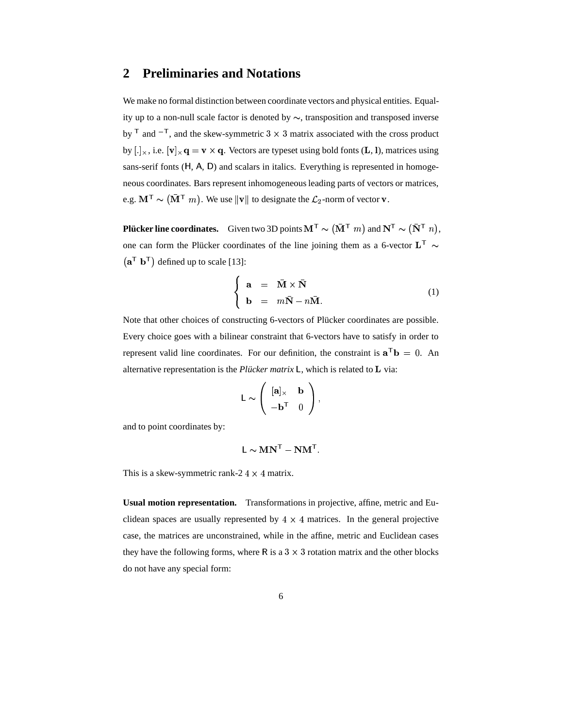#### **2 Preliminaries and Notations**

We make no formal distinction between coordinate vectors and physical entities. Equality up to a non-null scale factor is denoted by  $\sim$ , transposition and transposed inverse by  $\mathsf{T}$  and  $\mathsf{-} \mathsf{T}$ , and the  $\mathsf{F}$ , and the skew-symmetric 3  $\times$  3 matrix associated with the cross product by [.]<sub> $\times$ </sub>, i.e. [**v**] $_{\times}$ **q** = **v**  $\times$  **q**. Vectors are typeset using bold fonts (**L**, **l**), matrices using sans-serif fonts (H, A, D) and scalars in italics. Everything is represented in homogeneous coordinates. Bars represent inhomogeneousleading parts of vectors or matrices, e.g.  $\mathbf{M}^{\mathsf{T}} \sim (\bar{\mathbf{M}}^{\mathsf{T}} \ m)$ . We use  $\mathcal{F}[m]$ . We use  $\|\mathbf{v}\|$  to designate the  $\mathcal{L}_2$ -norm of vector **v**.

**Plücker line coordinates.** Given two 3D points  $M^T \sim (\bar{M}^T m)$  and  $N^T$   $\mathbf{N}^{\mathsf{T}}$  and  $\mathbf{N}^{\mathsf{T}} \sim (\bar{\mathbf{N}}^{\mathsf{T}} n)$ ,  $\blacksquare$  $\tau$   $n$ , one can form the Plucker coordinates of the line joining them as a 6-vector  $L^T \sim$  $(a^{\mathsf{T}} b^{\mathsf{T}})$  defined up to scale [13]:

$$
\begin{cases}\n\mathbf{a} = \bar{\mathbf{M}} \times \bar{\mathbf{N}} \\
\mathbf{b} = m\bar{\mathbf{N}} - n\bar{\mathbf{M}}.\n\end{cases}
$$
\n(1)

@ACB

Note that other choices of constructing 6-vectors of Plücker coordinates are possible. Every choice goes with a bilinear constraint that 6-vectors have to satisfy in order to represent valid line coordinates. For our definition, the constraint is  $\mathbf{a}^T \mathbf{b} = 0$ . An alternative representation is the *Plucker matrix*  $\mathsf{L}$ , which is related to  $\mathsf{L}$  via:

$$
L \sim \left( \begin{array}{cc} [\mathbf{a}]_{\times} & \mathbf{b} \\ -\mathbf{b}^{\mathsf{T}} & 0 \end{array} \right),
$$

and to point coordinates by:

$$
\mathsf{L} \sim \mathbf{M} \mathbf{N}^{\mathsf{T}} - \mathbf{N} \mathbf{M}^{\mathsf{T}}.
$$

This is a skew-symmetric rank-2  $4 \times 4$  matrix.

**Usual motion representation.** Transformations in projective, affine, metric and Euclidean spaces are usually represented by  $4 \times 4$  matrices. In the general projective case, the matrices are unconstrained, while in the affine, metric and Euclidean cases they have the following forms, where R is a  $3 \times 3$  rotation matrix and the other blocks do not have any special form: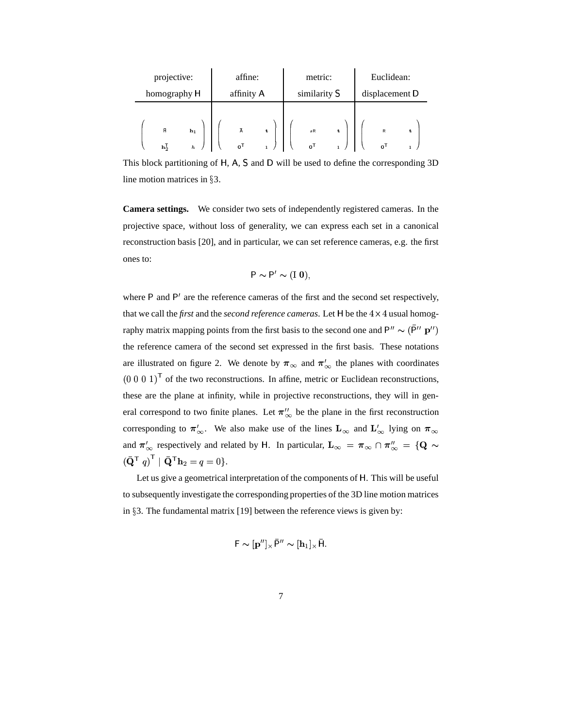| projective:  |                                                                                  | affine:    |                                | metric:      |  | Euclidean:                      |   |  |                                |   |  |
|--------------|----------------------------------------------------------------------------------|------------|--------------------------------|--------------|--|---------------------------------|---|--|--------------------------------|---|--|
| homography H |                                                                                  | affinity A |                                | similarity S |  | displacement D                  |   |  |                                |   |  |
|              | $\mathbf{\tilde{H}}$<br>$h_1$<br>$\mathbf{h}_2^{\mathsf{T}}$<br>$\boldsymbol{h}$ |            | Ā<br>$\mathbf{o}^{\mathsf{T}}$ | t            |  | sR<br>$\mathbf{o}^{\mathsf{T}}$ | t |  | R<br>$\mathbf{o}^{\mathsf{T}}$ | t |  |

This block partitioning of H, A, S and D will be used to define the corresponding 3D line motion matrices in 3.

**Camera settings.** We consider two sets of independently registered cameras. In the projective space, without loss of generality, we can express each set in a canonical reconstruction basis [20], and in particular, we can set reference cameras, e.g. the first ones to:

$$
P \sim P' \sim (I \ 0),
$$

where  $P$  and  $P'$  are the reference cameras of the first and the second set respectively, that we call the *first* and the *second reference cameras*. Let  $H$  be the  $4 \times 4$  usual homography matrix mapping points from the first basis to the second one and  $P'' \sim (\bar{P}'' \, \mathbf{p}'')$ the reference camera of the second set expressed in the first basis. These notations are illustrated on figure 2. We denote by  $\pi_{\infty}$  and  $\pi'_{\infty}$  the planes with coordinates  $(0\ 0\ 0\ 1)^T$  of the two reconstructions. In affine, metric or Euclidean reconstructions, these are the plane at infinity, while in projective reconstructions, they will in general correspond to two finite planes. Let  $\pi_{\infty}^{u}$  be the plane in the first reconstruction corresponding to  $\pi'_{\infty}$ . We also make use of the lines  $\mathbf{L}_{\infty}$  and  $\mathbf{L}'_{\infty}$  lying on  $\pi_{\infty}$ and  $\pi'_{\infty}$  respectively and related by H. In particular,  $\mathbf{L}_{\infty} = \pi_{\infty} \cap \pi''_{\infty} = {\mathbf{Q}} \sim$  $\left(\bar{\mathbf{Q}}^\mathsf{T} \; q\right)^\mathsf{T} \mid \bar{\mathbf{Q}}^\mathsf{T} \mathbf{h}_2 = q = 0 \}.$ 

Let us give a geometrical interpretation of the components of H. This will be useful to subsequently investigate the corresponding properties of the 3D line motion matrices in §3. The fundamental matrix [19] between the reference views is given by:

$$
\mathsf{F} \sim [\mathbf{p}'']_{\times} \bar{\mathsf{P}}'' \sim [\mathbf{h}_1]_{\times} \bar{\mathsf{H}}.
$$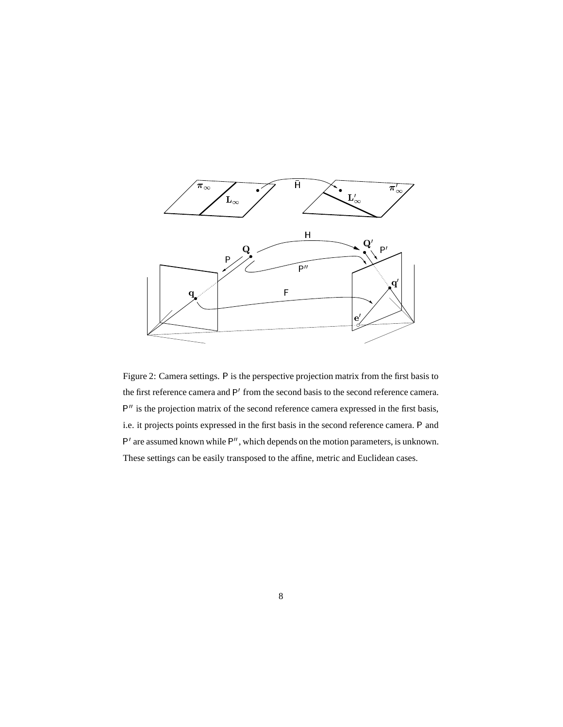

Figure 2: Camera settings. P is the perspective projection matrix from the first basis to the first reference camera and P' from the second basis to the second reference camera.  $P''$  is the projection matrix of the second reference camera expressed in the first basis, i.e. it projects points expressed in the first basis in the second reference camera. P and are  $P^2$  and  $P^2$  are assumed known while  $P''$ , which depends on the motion parameters, is unknown. These settings can be easily transposed to the affine, metric and Euclidean cases.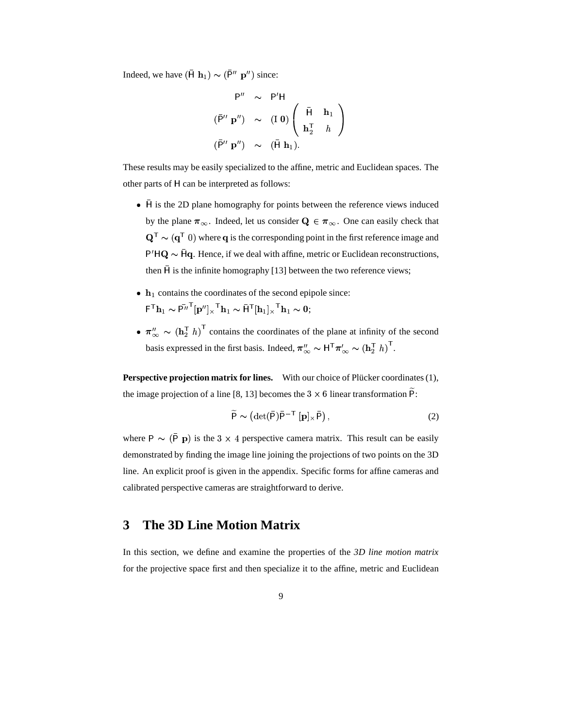Indeed, we have  $(\bar{H} \mathbf{h}_1) \sim (\bar{P}^{\prime\prime} \mathbf{p}^{\prime\prime})$  since:

$$
P'' \sim P'H
$$
  
\n
$$
(\bar{P}'' \mathbf{p}'') \sim (I \mathbf{0}) \begin{pmatrix} \bar{H} & \mathbf{h}_1 \\ \mathbf{h}_2^T & h \end{pmatrix}
$$
  
\n
$$
(\bar{P}'' \mathbf{p}'') \sim (\bar{H} \mathbf{h}_1).
$$

These results may be easily specialized to the affine, metric and Euclidean spaces. The other parts of H can be interpreted as follows:

- H is the 2D plane homography for points between the reference views induced by the plane  $\pi_{\infty}$ . Indeed, let us consider  $Q \in \pi_{\infty}$ . One can easily check that <sup>0</sup> . . . . . . . . and the contract of the contract of the contract of the contract of the contract of the contract of the contract of the contract of the contract of the contract of the contract of the contract of the contract of the contra  ${\bf Q}^{\top} \sim ({\bf q}^{\top} \; 0)$  where  ${\bf q}$  is the corresponding point in the first reference image and  $P'HQ \sim \bar{H}q$ . Hence, if we deal with affine, metric or Euclidean reconstructions, then  $\bar{H}$  is the infinite homography [13] between the two reference views;
- $\bullet$   $\mathbf{h}_1$  contains the coordinates of the second epipole since:  $\mathsf{F}^\mathsf{T} \mathbf{h}_1 \sim \mathsf{P}^{\overline{\mu}}{}^\mathsf{T} [\mathbf{p}^{\prime\prime}]_\times{}^\mathsf{T} \mathbf{h}_1 \sim \mathsf{H}^\mathsf{T} [\mathbf{h}_1]_\times{}^\mathsf{T} \mathbf{h}_1 \sim 0;$
- $\pi_{\infty}'' \sim (\mathbf{h}_2^{\mathsf{T}} h)^{\mathsf{T}}$  contains the coordinates of the plane at infinity of the second basis expressed in the first basis. Indeed,  $\pi''_{\infty} \sim H^{T} \pi'_{\infty} \sim (h_{2}^{T} h)^{T}$ .

**Perspective projection matrix for lines.** With our choice of Plücker coordinates (1), the image projection of a line [8, 13] becomes the  $3 \times 6$  linear transformation  $\widetilde{P}$ :

$$
\widetilde{P} \sim \left( \det(\bar{P}) \bar{P}^{-T} \left[ \mathbf{p} \right]_{\times} \bar{P} \right),\tag{2}
$$

where  $P \sim (\bar{P} \mathbf{p})$  is the  $3 \times 4$  perspective camera matrix. This result can be easily demonstrated by finding the image line joining the projections of two points on the 3D line. An explicit proof is given in the appendix. Specific forms for affine cameras and calibrated perspective cameras are straightforward to derive.

# **3 The 3D Line Motion Matrix**

In this section, we define and examine the properties of the *3D line motion matrix* for the projective space first and then specialize it to the affine, metric and Euclidean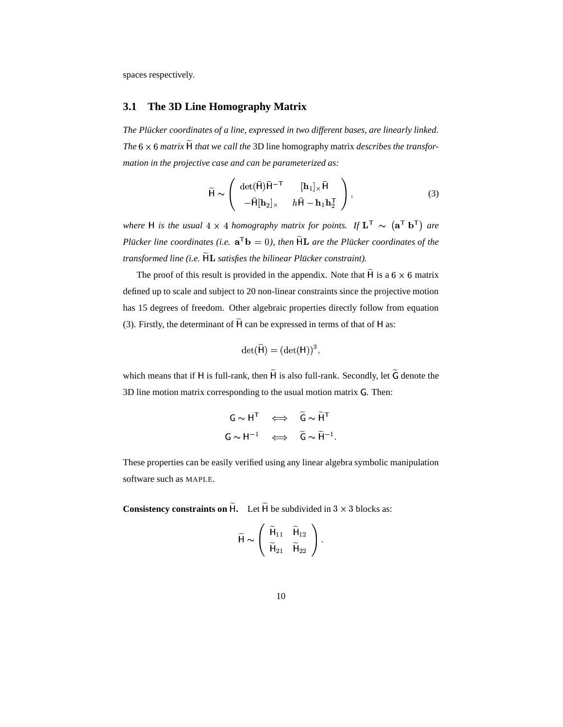spaces respectively.

#### **3.1 The 3D Line Homography Matrix**

*The Pluc¨ ker coordinates of a line, expressed in two different bases, are linearly linked. The*  $6 \times 6$  *matrix*  $\widetilde{H}$  *that we call the* 3D line homography matrix *describes the transformation in the projective case and can be parameterized as:*

$$
\widetilde{\mathsf{H}} \sim \left( \begin{array}{cc} \det(\bar{\mathsf{H}}) \bar{\mathsf{H}}^{-\mathsf{T}} & [\mathbf{h}_1] \times \bar{\mathsf{H}} \\ -\bar{\mathsf{H}}[\mathbf{h}_2] \times & h \bar{\mathsf{H}} - \mathbf{h}_1 \mathbf{h}_2^{\mathsf{T}} \end{array} \right),\tag{3}
$$

*where H* is the usual  $4 \times 4$  homography matrix for points. If  $\mathbf{L}^T \sim (\mathbf{a}^T \mathbf{b}^T)$  +  $\mathbf{F}$  **b**<sup>T</sup>) are *Plucker line coordinates (i.e.*  $\mathbf{a}^T \mathbf{b} = 0$ ), *then*  $\widetilde{H} \mathbf{L}$  *are the Plucker coordinates of the transformed line (i.e.*  $\widetilde{\mathsf{HL}}$  *satisfies the bilinear Plücker constraint).* 

The proof of this result is provided in the appendix. Note that  $\widetilde{H}$  is a 6  $\times$  6 matrix defined up to scale and subject to 20 non-linear constraints since the projective motion has 15 degrees of freedom. Other algebraic properties directly follow from equation (3). Firstly, the determinant of  $\widetilde{H}$  can be expressed in terms of that of H as:

$$
\det(\widetilde{\mathsf{H}}) = (\det(\mathsf{H}))^3,
$$

which means that if H is full-rank, then  $\widetilde{H}$  is also full-rank. Secondly, let  $\widetilde{G}$  denote the 3D line motion matrix corresponding to the usual motion matrix G. Then:

$$
G \sim H^{T} \iff \tilde{G} \sim \tilde{H}^{T}
$$
  

$$
G \sim H^{-1} \iff \tilde{G} \sim \tilde{H}^{-1}.
$$

These properties can be easily verified using any linear algebra symbolic manipulation software such as MAPLE.

**Consistency constraints on**  $\widetilde{H}$ **.** Let  $\widetilde{H}$  be subdivided in  $3 \times 3$  blocks as:

$$
\widetilde{\mathsf{H}} \sim \left( \begin{array}{cc} \widetilde{\mathsf{H}}_{11} & \widetilde{\mathsf{H}}_{12} \\ \widetilde{\mathsf{H}}_{21} & \widetilde{\mathsf{H}}_{22} \end{array} \right).
$$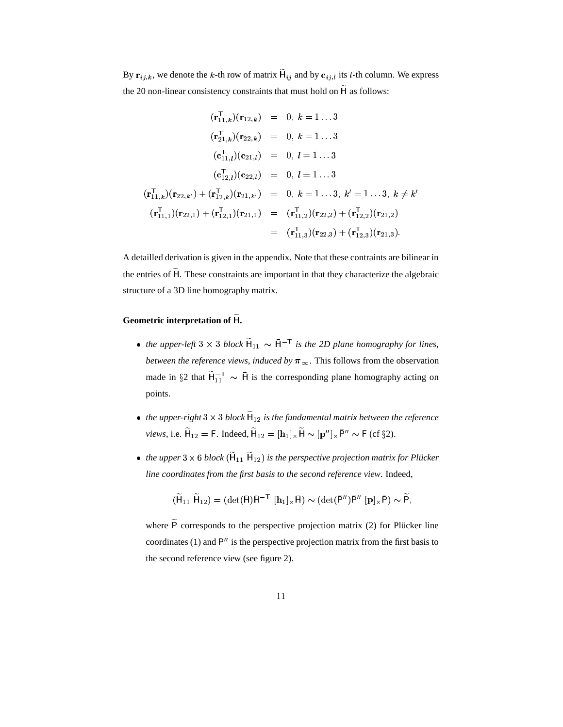By  $\mathbf{r}_{ij,k}$ , we denote the k-th row of matrix  $\widetilde{H}_{ij}$  and by  $\mathbf{c}_{ij,l}$  its l-th column. We express the 20 non-linear consistency constraints that must hold on  $\widetilde{H}$  as follows:

$$
(\mathbf{r}_{11,k}^{\mathsf{T}})(\mathbf{r}_{12,k}) = 0, k = 1...3
$$
  
\n
$$
(\mathbf{r}_{21,k}^{\mathsf{T}})(\mathbf{r}_{22,k}) = 0, k = 1...3
$$
  
\n
$$
(\mathbf{c}_{11,l}^{\mathsf{T}})(\mathbf{c}_{21,l}) = 0, l = 1...3
$$
  
\n
$$
(\mathbf{c}_{12,l}^{\mathsf{T}})(\mathbf{c}_{22,l}) = 0, l = 1...3
$$
  
\n
$$
(\mathbf{r}_{11,k}^{\mathsf{T}})(\mathbf{r}_{22,k'}) + (\mathbf{r}_{12,k}^{\mathsf{T}})(\mathbf{r}_{21,k'}) = 0, k = 1...3, k' = 1...3, k \neq k'
$$
  
\n
$$
(\mathbf{r}_{11,1}^{\mathsf{T}})(\mathbf{r}_{22,1}) + (\mathbf{r}_{12,1}^{\mathsf{T}})(\mathbf{r}_{21,1}) = (\mathbf{r}_{11,2}^{\mathsf{T}})(\mathbf{r}_{22,2}) + (\mathbf{r}_{12,2}^{\mathsf{T}})(\mathbf{r}_{21,2})
$$
  
\n
$$
= (\mathbf{r}_{11,3}^{\mathsf{T}})(\mathbf{r}_{22,3}) + (\mathbf{r}_{12,3}^{\mathsf{T}})(\mathbf{r}_{21,3}).
$$

A detailled derivation is given in the appendix. Note that these contraints are bilinear in the entries of  $\widetilde{H}$ . These constraints are important in that they characterize the algebraic structure of a 3D line homography matrix.

#### **Geometric interpretation of .**

- *the upper-left*  $3 \times 3$  *block*  $\widetilde{H}_{11} \sim \overline{H}^{-1}$ provided a series of the contract of the contract of the contract of  $\sim$   $\bar{H}^{-T}$  *is the 2D plane homography for lines, between the reference views, induced by*  $\pi_{\infty}$ . This follows from the observation made in §2 that  $\widetilde{H}_{11}^{-T} \sim \overline{H}$  is the corresponding plane homography acting on points.
- *the upper-right*  $3 \times 3$  *block*  $\widetilde{H}_{12}$  *is the fun* ; # *is the fundamental matrix between the reference views*, i.e.  $\widetilde{H}_{12} = F$ . Inde  $_2 =$  F. Indeed,  $\widetilde{H}_{12} = [\mathbf{h}_1]_{\times} \widetilde{H}$  $\tilde{H}_{12} = [\mathbf{h}_1] \times \tilde{\mathbf{H}} \sim [\mathbf{p}''] \times \bar{\mathbf{P}}'' \sim \mathsf{F} \text{ (cf §2).}$
- the upper  $3 \times 6$  block  $(\widetilde{H}_{11} \ \widetilde{H}_{12})$  is the  $\sim$   $\sim$   $\sim$   $\sim$   $\sim$   $\sim$   $\sim$ . . . *. . . . . . . .* .  $(x_{12})$  *is the perspective projection matrix for Plücker line coordinates from the first basis to the second reference view*. Indeed,

$$
(\widetilde{\mathsf{H}}_{11} \; \widetilde{\mathsf{H}}_{12}) = (\det(\bar{\mathsf{H}}) \bar{\mathsf{H}}^{-\mathsf{T}} \; [\mathbf{h}_1]_{\times} \bar{\mathsf{H}}) \thicksim (\det(\bar{\mathsf{P}}'') \bar{\mathsf{P}}'' \; [\mathbf{p}]_{\times} \bar{\mathsf{P}}) \thicksim \widetilde{\mathsf{P}},
$$

where  $\tilde{P}$  corresponds to the perspective projection matrix (2) for Plücker line coordinates (1) and  $P''$  is the perspective projection matrix from the first basis to the second reference view (see figure 2).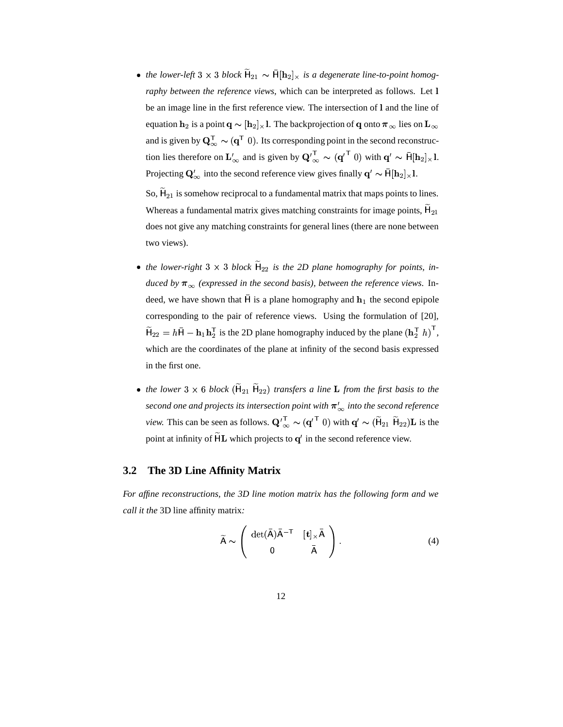• *the lower-left*  $3 \times 3$  *block*  $\widetilde{H}_{21} \sim \overline{H}[\mathbf{h}_2]$  $_1 \sim \bar{H}[\mathbf{h}_2]_{\times}$  is a degenerate line-to-point homog*raphy between the reference views*, which can be interpreted as follows. Let be an image line in the first reference view. The intersection of 1 and the line of equation  $\mathbf{h}_2$  is a point  $\mathbf{q} \thicksim [\mathbf{h}_2]_\times$  l. The backprojection of  $\mathbf{q}$  onto  $\boldsymbol{\pi}_\infty$  lies on  $\mathbf{L}_\infty$ and is given by  $\mathbf{Q}_{\infty}^{\mathsf{T}} \sim (\mathbf{q}^{\mathsf{T}} \; 0)$ . Its corresponding point in the second reconstruction lies therefore on  $\mathbf{L}'_{\infty}$  and is given by  $\mathbf{Q}'_{\infty}^{\mathsf{T}} \sim (\mathbf{q}'^{\mathsf{T}} \ 0)$  with  $\mathbf{q}' \sim \overline{\mathsf{H}}[\mathbf{h}_2]_{\times} \mathsf{l}$ . Projecting  $\mathbf{Q}'_{\infty}$  into the second reference view gives finally  $\mathbf{q}' \sim \bar{\mathbf{H}}[\mathbf{h}_2]_{\times}$ l.

So,  $\widetilde{\mathsf{H}}_{21}$  is someho 1 is somehow reciprocal to a fundamental matrix that maps points to lines. Whereas a fundamental matrix gives matching constraints for image points,  $\widetilde{\mathsf{H}}_{21}$ does not give any matching constraints for general lines (there are none between two views).

- the lower-right  $3 \times 3$  block  $\widetilde{H}_{22}$  is the 2D plane homography for points, in*duced* by  $\pi_{\infty}$  (expressed in the second basis), between the reference views. Indeed, we have shown that  $\bar{H}$  is a plane homography and  $h_1$  the second epipole corresponding to the pair of reference views. Using the formulation of [20],  $H_{22} = hH - h_1h_2$  is the 2  $\mathbf{h}_1 \mathbf{h}_2^{\mathsf{T}}$  is the 2D plane homography induced by the plane  $(\mathbf{h}_2^{\mathsf{T}} \ h)^{\mathsf{T}}$ , which are the coordinates of the plane at infinity of the second basis expressed in the first one.
- *the lower*  $3 \times 6$  *block*  $(\widetilde{H}_{21} \widetilde{H}_{22})$  *trai*  $_1$   $\widetilde{H}_{22}$ ) transfers a line **L** from the first basis to the  $\frac{1}{s}$  *second* one and projects its intersection point with  $\pi'_{\infty}$  *into the second reference view.* This can be seen as follows.  $\mathbf{Q'}_{\infty}^T \sim (\mathbf{q'}^T \ 0)$  with  $\mathbf{q'} \sim (\widetilde{H}_{21} \ \widetilde{H}_{22}) \mathbf{L}$  is  $({\bf q'}^{\mathsf{T}}\;0)$  with  ${\bf q'} \sim (\widetilde{\mathsf{H}}_{21} \; \widetilde{\mathsf{H}}_{22}){\bf L}$  is the point at infinity of  $\widetilde{H}L$  which projects to  $q'$  in the second reference view.

#### **3.2 The 3D Line Affinity Matrix**

*For affine reconstructions, the 3D line motion matrix has the following form and we call it the* 3D line affinity matrix*:*

$$
\widetilde{A} \sim \left( \begin{array}{cc} \det(\overline{A})\overline{A}^{-T} & [\mathbf{t}]_{\times}\overline{A} \\ 0 & \overline{A} \end{array} \right). \tag{4}
$$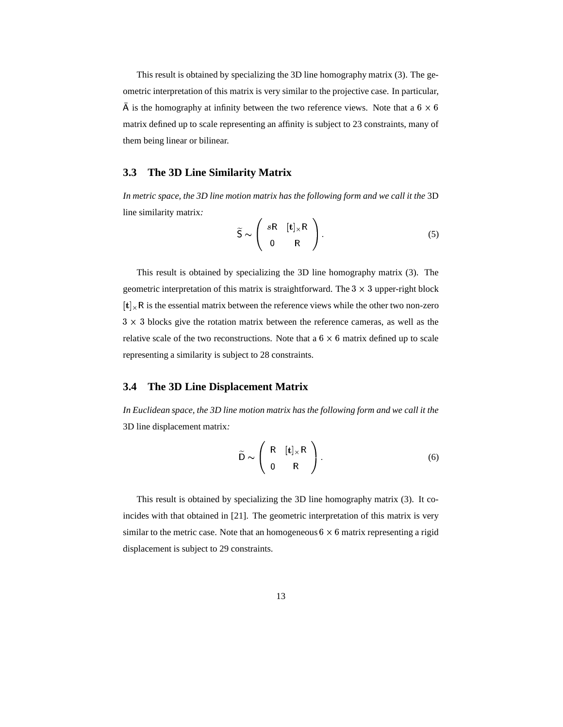This result is obtained by specializing the 3D line homography matrix (3). The geometric interpretation of this matrix is very similar to the projective case. In particular,  $\overline{A}$  is the homography at infinity between the two reference views. Note that a 6  $\times$  6 matrix defined up to scale representing an affinity is subject to 23 constraints, many of them being linear or bilinear.

#### **3.3 The 3D Line Similarity Matrix**

*In metric space, the 3D line motion matrix has the following form and we call it the* 3D line similarity matrix*:*

$$
\widetilde{S} \sim \left( \begin{array}{cc} sR & [t]_{\times}R \\ 0 & R \end{array} \right). \tag{5}
$$

This result is obtained by specializing the 3D line homography matrix (3). The geometric interpretation of this matrix is straightforward. The  $3 \times 3$  upper-right block  $[t]_x$ R is the essential matrix between the reference views while the other two non-zero  $3 \times 3$  blocks give the rotation matrix between the reference cameras, as well as the relative scale of the two reconstructions. Note that a  $6 \times 6$  matrix defined up to scale representing a similarity is subject to 28 constraints.

#### **3.4 The 3D Line Displacement Matrix**

*In Euclidean space, the 3D line motion matrix has the following form and we call it the* 3D line displacement matrix*:*

$$
\widetilde{D} \sim \left(\begin{array}{cc} R & [t]_{\times}R \\ 0 & R \end{array}\right). \tag{6}
$$

This result is obtained by specializing the 3D line homography matrix (3). It coincides with that obtained in [21]. The geometric interpretation of this matrix is very similar to the metric case. Note that an homogeneous  $6 \times 6$  matrix representing a rigid displacement is subject to 29 constraints.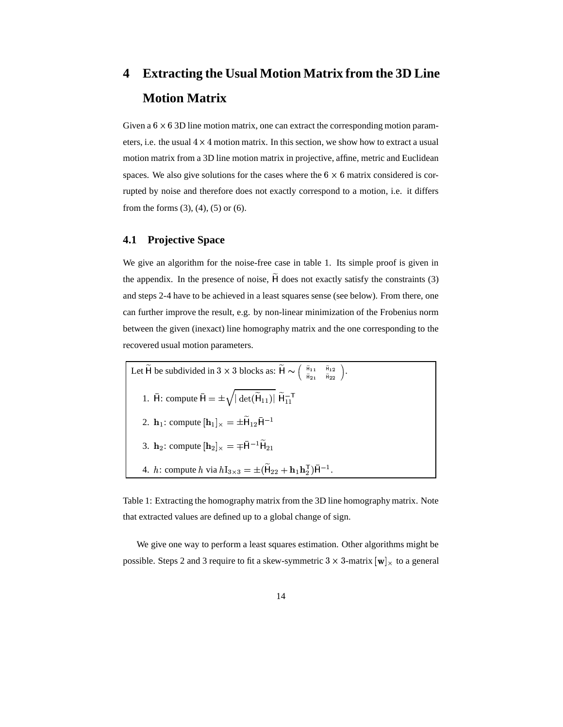# **4 Extracting the Usual Motion Matrix from the 3D Line Motion Matrix**

Given a  $6 \times 6$  3D line motion matrix, one can extract the corresponding motion parameters, i.e. the usual  $4 \times 4$  motion matrix. In this section, we show how to extract a usual motion matrix from a 3D line motion matrix in projective, affine, metric and Euclidean spaces. We also give solutions for the cases where the  $6 \times 6$  matrix considered is corrupted by noise and therefore does not exactly correspond to a motion, i.e. it differs from the forms  $(3)$ ,  $(4)$ ,  $(5)$  or  $(6)$ .

#### **4.1 Projective Space**

We give an algorithm for the noise-free case in table 1. Its simple proof is given in the appendix. In the presence of noise,  $\widetilde{H}$  does not exactly satisfy the constraints (3) and steps 2-4 have to be achieved in a least squares sense (see below). From there, one can further improve the result, e.g. by non-linear minimization of the Frobenius norm between the given (inexact) line homography matrix and the one corresponding to the recovered usual motion parameters.

| Let $\widetilde{H}$ be subdivided in 3 × 3 blocks as: $\widetilde{H} \sim \begin{pmatrix} \tilde{H}_{11} & \tilde{H}_{12} \\ \tilde{H}_{21} & \tilde{H}_{22} \end{pmatrix}$ . |  |
|-------------------------------------------------------------------------------------------------------------------------------------------------------------------------------|--|
| 1. $\bar{H}$ : compute $\bar{H} = \pm \sqrt{ \det(\tilde{H}_{11}) } \; \tilde{H}_{11}^{-T}$                                                                                   |  |
| 2. $\mathbf{h}_1$ : compute $[\mathbf{h}_1]_{\times} = \pm \mathbf{H}_{12} \mathbf{H}^{-1}$                                                                                   |  |
| 3. $\mathbf{h}_2$ : compute $[\mathbf{h}_2]_{\times} = \pm \bar{\mathbf{H}}^{-1} \bar{\mathbf{H}}_{21}$                                                                       |  |
| 4. <i>h</i> : compute <i>h</i> via $hI_{3\times 3} = \pm (H_{22} + h_1 h_2^T) \bar{H}^{-1}$ .                                                                                 |  |

Table 1: Extracting the homography matrix from the 3D line homography matrix. Note that extracted values are defined up to a global change of sign.

We give one way to perform a least squares estimation. Other algorithms might be possible. Steps 2 and 3 require to fit a skew-symmetric 3  $\times$  3-matrix  $[\mathbf{w}]_{\times}$  to a general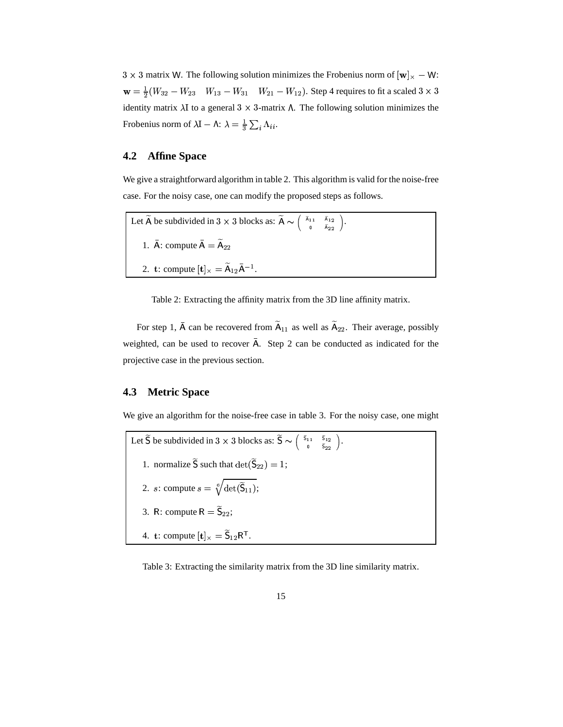$3 \times 3$  matrix W. The following solution minimizes the Frobenius norm of  $[w]_{\times} - W$ :  $w = \frac{1}{2}(W_{32} - W_{23} - W_{13} - W_{31} - W_{21} - W_{13})$  $_{13}-W_{31}-W_{2}$  $W_{21} - W_{12}$ ). Step 4 requires to fit a scaled  $3 \times 3$ identity matrix  $\lambda I$  to a general  $3 \times 3$ -matrix  $\Lambda$ . The following solution minimizes the Frobenius norm of  $\lambda I - \Lambda$ :  $\lambda = \frac{1}{3} \sum_i \Lambda_{ii}$ .

#### **4.2 Affine Space**

We give a straightforward algorithm in table 2. This algorithm is valid for the noise-free case. For the noisy case, one can modify the proposed steps as follows.

Let  $\widetilde{A}$  be subdivided in  $3 \times 3$  blocks as:  $\widetilde{A} \sim \begin{pmatrix} \widetilde{A}_{11} & \widetilde{A}_{12} \\ \widetilde{A}_{11} & \widetilde{A}_{12} \end{pmatrix}$ .  $\begin{pmatrix} \tilde{A}_{11} & \tilde{A}_{12} \end{pmatrix}$  . 1.  $\bar{A}$ : compute  $\bar{A} = \tilde{A}_{22}$ 2. **t**: compute  $[\mathbf{t}]_{\times} = \widetilde{A}_{12} \overline{A}^{-1}$ . # \$- ; .

Table 2: Extracting the affinity matrix from the 3D line affinity matrix.

For step 1,  $\bar{A}$  can be recovered from  $\tilde{A}_{11}$  as well as  $\tilde{A}_{22}$ . Their average, possibly weighted, can be used to recover  $\bar{A}$ . Step 2 can be conducted as indicated for the projective case in the previous section.

#### **4.3 Metric Space**

We give an algorithm for the noise-free case in table 3. For the noisy case, one might

Let  $\widetilde{S}$  be subdivided in  $3 \times 3$  blocks as:  $\widetilde{S} \sim \begin{pmatrix} \widetilde{S}_{11} & \widetilde{S}_{12} \\ \widetilde{S}_{11} & \widetilde{S}_{12} \end{pmatrix}$ .  $\left( \begin{array}{cc} \tilde{\mathsf{S}}_{11} & \tilde{\mathsf{S}}_{12} \end{array} \right)$  . 1. normalize  $\widetilde{S}$  such that  $\det(\widetilde{S}_{22}) = 1$ ; 2. s: compute  $s = \sqrt[6]{\det(\widetilde{S}_{11})}$ ;  $_{11});$ 3. R: compute  $R = \widetilde{S}_{22}$ ; 4. **t**: compute  $[\mathbf{t}]_{\times} = \widetilde{\mathsf{S}}_{12} \mathsf{R}^{\mathsf{T}}$ . ; # <sup>F</sup>  $\mathbf{r}_{\perp}$  . The set of  $\mathbf{r}_{\perp}$ 

Table 3: Extracting the similarity matrix from the 3D line similarity matrix.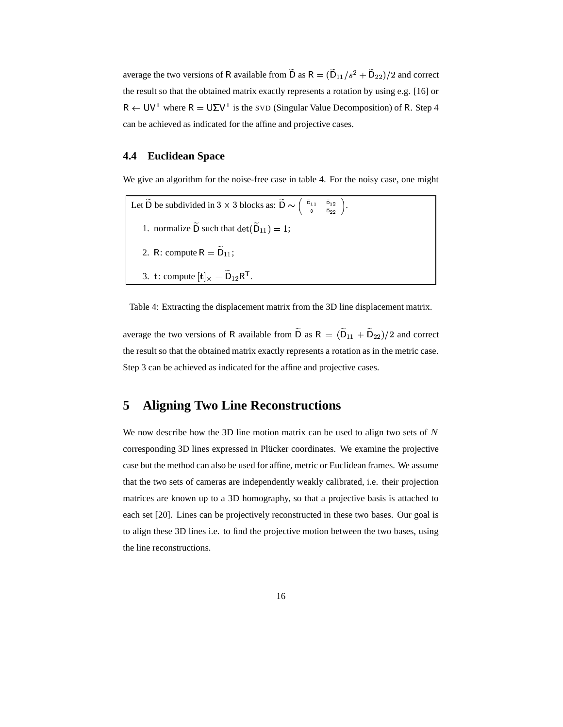average the two versions of R available from  $\widetilde{D}$  as  $R = (\widetilde{D}_{11}/s^2 + \widetilde{D}_{22})/2$  and correct the result so that the obtained matrix exactly represents a rotation by using e.g. [16] or  $T$  where  $R = U\Sigma V$ <sup>T</sup> is the SVD (i)  $\textsuperscript{T}$  is the SVD (Singular Value Decomposition) of R. Step 4 can be achieved as indicated for the affine and projective cases.

#### **4.4 Euclidean Space**

We give an algorithm for the noise-free case in table 4. For the noisy case, one might

Let  $\widetilde{D}$  be subdivided in  $3 \times 3$  blocks as:  $\widetilde{D} \sim \begin{pmatrix} \widetilde{D}_{11} & \widetilde{D}_{12} \\ \vdots & \vdots \\ \widetilde{D}_{n1} & \widetilde{D}_{nn} \end{pmatrix}$ .  $\left(\begin{array}{cc} \widetilde{\mathsf{D}}_{11} & \widetilde{\mathsf{D}}_{12} \end{array}\right)$  . 1. normalize  $\widetilde{D}$  such that  $\det(\widetilde{D}_{11}) = 1$ ; 2. R: compute  $R = \widetilde{D}_{11}$ ; 3. **t**: compute  $[\mathbf{t}]_{\times} = \widetilde{\mathsf{D}}_{12} \mathsf{R}^{\mathsf{T}}$ . # <sup>F</sup>  $T_{\rm L}$  and  $T_{\rm C}$ 

Table 4: Extracting the displacement matrix from the 3D line displacement matrix.

average the two versions of R available from  $\widetilde{D}$  as  $R = (\widetilde{D}_{11} + \widetilde{D}_{22})/2$  $+$   $\widetilde{D}_{22})/2$  and correct the result so that the obtained matrix exactly represents a rotation as in the metric case. Step 3 can be achieved as indicated for the affine and projective cases.

# **5 Aligning Two Line Reconstructions**

We now describe how the 3D line motion matrix can be used to align two sets of  $N$ corresponding 3D lines expressed in Plücker coordinates. We examine the projective case but the method can also be used for affine, metric or Euclidean frames. We assume that the two sets of cameras are independently weakly calibrated, i.e. their projection matrices are known up to a 3D homography, so that a projective basis is attached to each set [20]. Lines can be projectively reconstructed in these two bases. Our goal is to align these 3D lines i.e. to find the projective motion between the two bases, using the line reconstructions.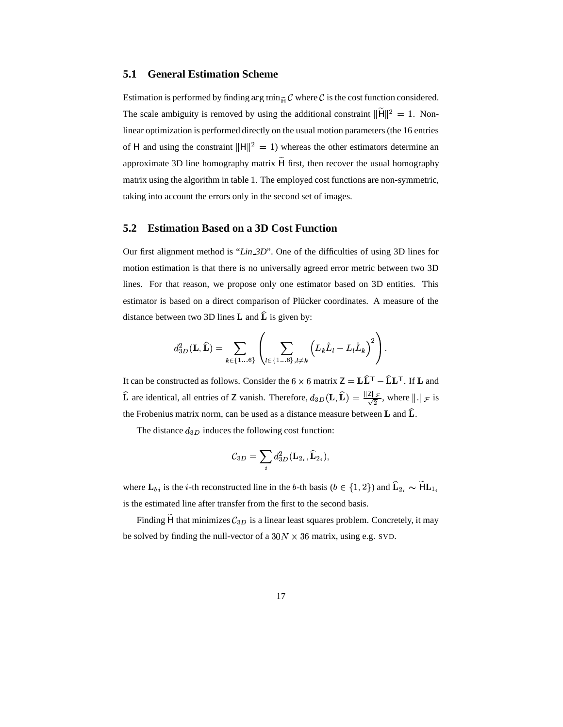#### **5.1 General Estimation Scheme**

Estimation is performed by finding  $\arg \min_{\tilde{\mathbf{\mu}}} \mathcal{C}$  where  $\mathcal{C}$  is the cost function considered. The scale ambiguity is removed by using the additional constraint  $\|\widetilde{H}\|^2 = 1$ . Nonlinear optimization is performed directly on the usual motion parameters (the 16 entries of H and using the constraint  $\|\mathbf{H}\|^2 = 1$ ) whereas the other estimators determine an approximate 3D line homography matrix  $\widetilde{H}$  first, then recover the usual homography matrix using the algorithm in table 1. The employed cost functions are non-symmetric, taking into account the errors only in the second set of images.

#### **5.2 Estimation Based on a 3D Cost Function**

Our first alignment method is "*Lin 3D*". One of the difficulties of using 3D lines for motion estimation is that there is no universally agreed error metric between two 3D lines. For that reason, we propose only one estimator based on 3D entities. This estimator is based on a direct comparison of Plücker coordinates. A measure of the distance between two 3D lines **L** and  $\hat{\mathbf{L}}$  is given by:

$$
d_{3D}^2(\mathbf{L},\widehat{\mathbf{L}}) = \sum_{k \in \{1...6\}} \left( \sum_{l \in \{1...6\}, l \neq k} \left( L_k \widehat{L}_l - L_l \widehat{L}_k \right)^2 \right).
$$

It can be constructed as follows. Consider the  $6 \times 6$  matrix  $Z = L\hat{L}^T - \hat{L}L^T$ . If I  $\mathbf{Z} = \mathbf{L} \widehat{\mathbf{L}}^{\mathsf{T}} - \widehat{\mathbf{L}} \mathbf{L}^{\mathsf{T}}$ . If  $\mathbf{L}$  and  $\widehat{\mathbf{L}}$  are identical, all entries of Z vanish. Therefore,  $d_{3D}(\mathbf{L}, \widehat{\mathbf{L}}) = \frac{\|\mathbf{Z}\|_{\mathcal{F}}}{\sqrt{2}}$ , where  $\|\cdot\|_{\mathcal{F}}$  is # the Frobenius matrix norm, can be used as a distance measure between **L** and  $\hat{L}$ .

The distance  $d_{3D}$  induces the following cost function:

$$
{\cal C}_{3D}=\sum_i d^2_{3D}(\mathbf{L}_{2_i},\widehat{\mathbf{L}}_{2_i}),
$$

where  $\mathbf{L}_{b i}$  is the *i*-th reconstructed line in the *b*-th basis ( $b \in \{1, 2\}$ ) and  $(2)$  and  $\widehat{\mathbf{L}}_{2i} \sim \widetilde{\mathbf{H}} \mathbf{L}_{1i}$  <sup>4</sup> is the estimated line after transfer from the first to the second basis.

Finding  $\widetilde{H}$  that minimizes  $\mathcal{C}_{3D}$  is a linear least squares problem. Concretely, it may be solved by finding the null-vector of a  $30N \times 36$  matrix, using e.g. SVD.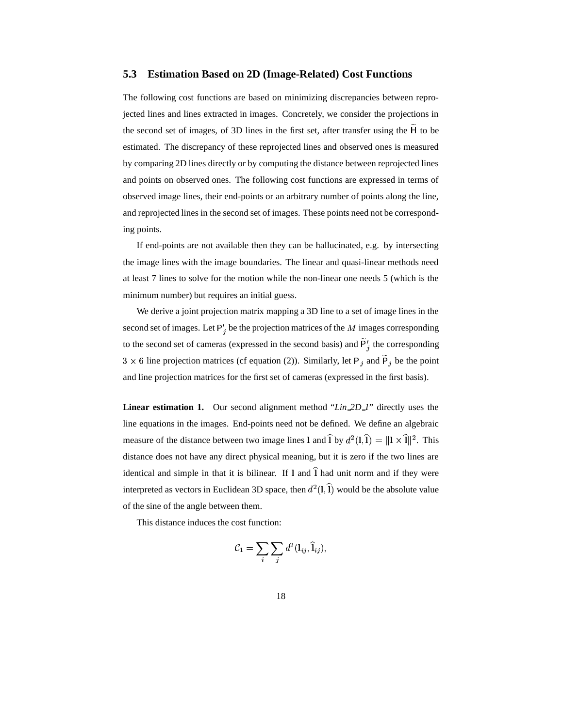#### **5.3 Estimation Based on 2D (Image-Related) Cost Functions**

The following cost functions are based on minimizing discrepancies between reprojected lines and lines extracted in images. Concretely, we consider the projections in the second set of images, of 3D lines in the first set, after transfer using the  $\tilde{H}$  to be estimated. The discrepancy of these reprojected lines and observed ones is measured by comparing 2D lines directly or by computing the distance between reprojected lines and points on observed ones. The following cost functions are expressed in terms of observed image lines, their end-points or an arbitrary number of points along the line, and reprojected lines in the second set of images. These points need not be corresponding points.

If end-points are not available then they can be hallucinated, e.g. by intersecting the image lines with the image boundaries. The linear and quasi-linear methods need at least 7 lines to solve for the motion while the non-linear one needs 5 (which is the minimum number) but requires an initial guess.

We derive a joint projection matrix mapping a 3D line to a set of image lines in the second set of images. Let  $P'_i$  be the projection matrices of the  $M$  images corresponding to the second set of cameras (expressed in the second basis) and  $\tilde{P}'_i$  the corresponding  $3 \times 6$  line projection matrices (cf equation (2)). Similarly, let P<sub>j</sub> and P<sub>j</sub> be the point and line projection matrices for the first set of cameras (expressed in the first basis).

**Linear estimation 1.** Our second alignment method "*Lin 2D 1*" directly uses the line equations in the images. End-points need not be defined. We define an algebraic <sup>B</sup> measure of the distance between two image lines 1 and  $\hat{\mathbf{l}}$  by  $d^2(\mathbf{l},\hat{\mathbf{l}}) =$  $\widehat{I}$  =  $\Vert I \times \widehat{I} \Vert^2$ . This distance does not have any direct physical meaning, but it is zero if the two lines are identical and simple in that it is bilinear. If  $l$  and  $\hat{l}$  had unit norm and if they were interpreted as vectors in Euclidean 3D space, then  $d^2(1,1)$  would be the absolute value **Contract Contract Contract Contract Contract Contract Contract Contract Contract Contract Contract Contract Contract Contract Contract Contract Contract Contract Contract Contract Contract Contract Contract Contract Contr** of the sine of the angle between them.

This distance induces the cost function:

$$
\mathcal{C}_1 = \sum_i \sum_j d^2(\mathbf{l}_{ij}, \mathbf{\widehat{i}}_{ij}),
$$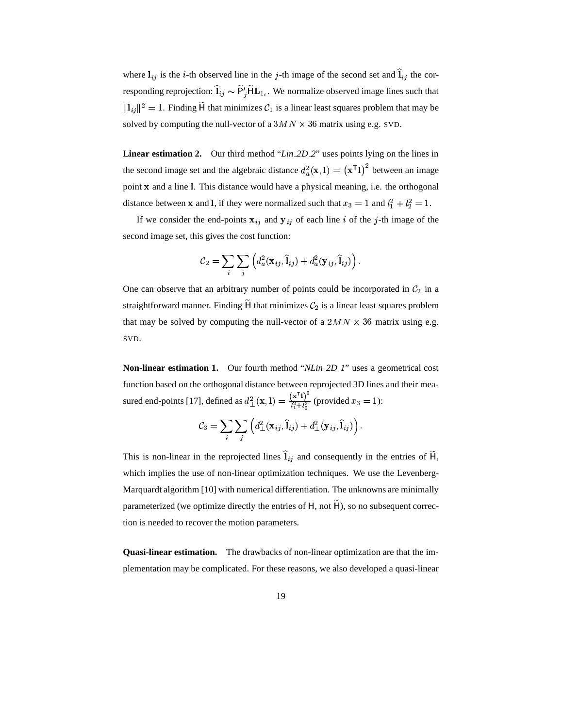where  $l_{ij}$  is the *i*-th observed line in the *j*-th image of the second set and  $\hat{l}_{ij}$  the corresponding reprojection:  $\hat{\mathbf{l}}_{ij} \sim \widetilde{\mathsf{P}}'_i \widetilde{\mathsf{H}} \mathbf{L}_{1_i}$ . We 1  $\widetilde{P}'_i \widetilde{H} L_1$ . We norma  $_{1i}$ . We normalize observed image lines such that  $||l_{ij}||^2 = 1$ . Finding  $\tilde{H}$  that minimizes  $\mathcal{C}_1$  is a linear least squares problem that may be solved by computing the null-vector of a  $3MN \times 36$  matrix using e.g. SVD.

**Linear estimation 2.** Our third method "*Lin 2D 2*" uses points lying on the lines in the second image set and the algebraic distance  $d_a^2(\mathbf{x}, \mathbf{l}) = (\mathbf{x}^T \mathbf{l})^2$  between - . - - - $)$ <sup>2</sup> between an image point x and a line 1. This distance would have a physical meaning, i.e. the orthogonal distance between **x** and l, if they were normalized such that  $x_3 = 1$  and  $l_1^2 + l_2^2 = 1$ .

If we consider the end-points  $x_{ij}$  and  $y_{ij}$  of each line i of the j-th image of the second image set, this gives the cost function:

$$
\mathcal{C}_2 = \sum_i \sum_j \left( d_a^2(\mathbf{x}_{ij},\widehat{\mathbf{l}}_{ij}) + d_a^2(\mathbf{y}_{ij},\widehat{\mathbf{l}}_{ij}) \right).
$$

One can observe that an arbitrary number of points could be incorporated in  $\mathcal{C}_2$  in a straightforward manner. Finding  $\widetilde{H}$  that minimizes  $\mathcal{C}_2$  is a linear least squares problem that may be solved by computing the null-vector of a  $2MN \times 36$  matrix using e.g. SVD.

**Non-linear estimation 1.** Our fourth method "*NLin 2D 1*" uses a geometrical cost function based on the orthogonal distance between reprojected 3D lines and their measured end-points [17], defined as  $d_{\perp}^2(\mathbf{x}, \mathbf{l}) = \frac{(\mathbf{x}^T \mathbf{l})^2}{l^2 + l^2}$  (provided  $x_3 = 1$ ):

$$
\mathcal{C}_3 = \sum_i \sum_j \left( d_\perp^2(\mathbf{x}_{ij},\widehat{\mathbf{l}}_{ij}) + d_\perp^2(\mathbf{y}_{ij},\widehat{\mathbf{l}}_{ij}) \right).
$$

This is non-linear in the reprojected lines  $\hat{\mathbf{l}}_{ij}$  and consequently in the entries of  $\tilde{\mathbf{H}}$ , which implies the use of non-linear optimization techniques. We use the Levenberg-Marquardt algorithm [10] with numerical differentiation. The unknowns are minimally parameterized (we optimize directly the entries of  $H$ , not  $\widetilde{H}$ ), so no subsequent correction is needed to recover the motion parameters.

**Quasi-linear estimation.** The drawbacks of non-linear optimization are that the implementation may be complicated. For these reasons, we also developed a quasi-linear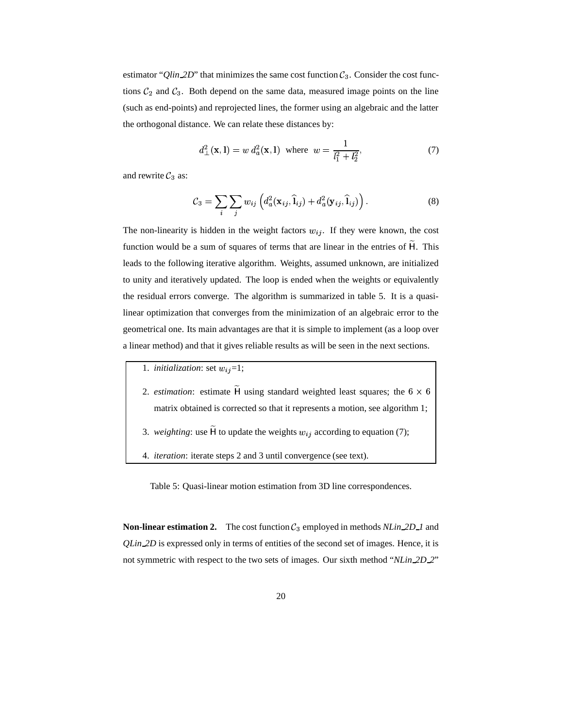estimator "*Qlin\_2D*" that minimizes the same cost function  $C_3$ . Consider the cost functions  $C_2$  and  $C_3$ . Both depend on the same data, measured image points on the line (such as end-points) and reprojected lines, the former using an algebraic and the latter the orthogonal distance. We can relate these distances by:

$$
d_{\perp}^{2}(\mathbf{x}, \mathbf{l}) = w d_{a}^{2}(\mathbf{x}, \mathbf{l}) \text{ where } w = \frac{1}{l_{1}^{2} + l_{2}^{2}},
$$
 (7)

and rewrite  $C_3$  as:

$$
\mathcal{C}_3 = \sum_i \sum_j w_{ij} \left( d_a^2(\mathbf{x}_{ij}, \hat{\mathbf{l}}_{ij}) + d_a^2(\mathbf{y}_{ij}, \hat{\mathbf{l}}_{ij}) \right).
$$
 (8)

The non-linearity is hidden in the weight factors  $w_{ij}$ . If they were known, the cost function would be a sum of squares of terms that are linear in the entries of  $\tilde{H}$ . This leads to the following iterative algorithm. Weights, assumed unknown, are initialized to unity and iteratively updated. The loop is ended when the weights or equivalently the residual errors converge. The algorithm is summarized in table 5. It is a quasilinear optimization that converges from the minimization of an algebraic error to the geometrical one. Its main advantages are that it is simple to implement (as a loop over a linear method) and that it gives reliable results as will be seen in the next sections.

- 1. *initialization*: set  $w_{ij} = 1$ ;
- 2. *estimation*: estimate  $\widetilde{H}$  using standard weighted least squares; the 6  $\times$  6  $\vert$ matrix obtained is corrected so that it represents a motion, see algorithm 1;
- 3. *weighting*: use  $\widetilde{H}$  to update the weights  $w_{ij}$  according to equation (7);
- 4. *iteration*: iterate steps 2 and 3 until convergence (see text).

Table 5: Quasi-linear motion estimation from 3D line correspondences.

**Non-linear estimation 2.** The cost function  $C_3$  employed in methods *NLin 2D\_1* and *QLin 2D* is expressed only in terms of entities of the second set of images. Hence, it is not symmetric with respect to the two sets of images. Our sixth method "*NLin 2D 2*"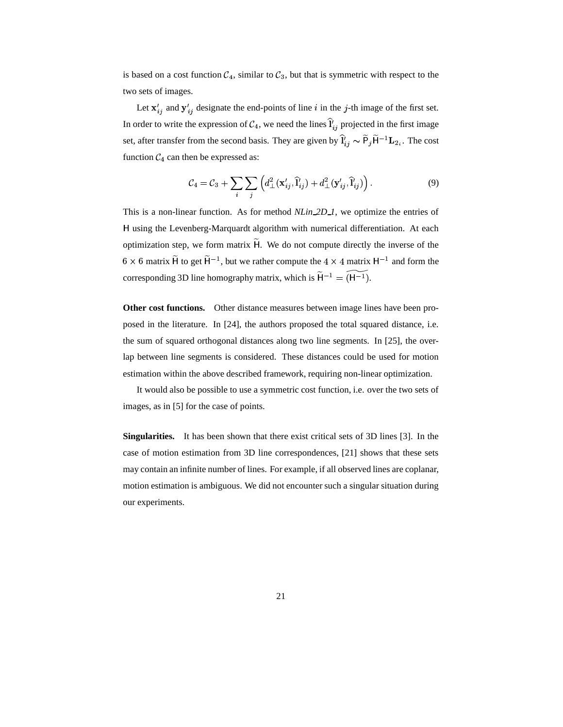is based on a cost function  $\mathcal{C}_4$ , similar to  $\mathcal{C}_3$ , but that is symmetric with respect to the two sets of images.

Let  ${\bf x}'_{i,j}$  and  ${\bf y}'_{i,j}$  designate the end-points of line i in the j-th image of the first set. In order to write the expression of  $\mathcal{C}_4$ , we need the lines  $\hat{\mathbf{l}}'_{i,j}$  projected in the first image set, after transfer from the second basis. They are given by  $\hat{I}'_{ii} \sim \tilde{P}_i \tilde{H}^{-1} L_{2i}$ . T  $\widetilde{\mathsf{P}}_i \widetilde{\mathsf{H}}^{-1} \mathbf{L}_{2i}$ . The  ${}^{1}$ **L**<sub>2<sub>i</sub></sub>. The cost function  $C_4$  can then be expressed as:

$$
\mathcal{C}_4 = \mathcal{C}_3 + \sum_i \sum_j \left( d^2_{\perp} (\mathbf{x}'_{ij}, \hat{\mathbf{l}}_{ij}) + d^2_{\perp} (\mathbf{y}'_{ij}, \hat{\mathbf{l}}'_{ij}) \right).
$$
 (9)

This is a non-linear function. As for method *NLin 2D 1*, we optimize the entries of using the Levenberg-Marquardt algorithm with numerical differentiation. At each optimization step, we form matrix  $\widetilde{H}$ . We do not compute directly the inverse of the  $6 \times 6$  matrix  $\widetilde{H}$  to get  $\widetilde{H}^{-1}$ , but we rather compute the  $4 \times 4$  matrix  $H^{-1}$  and form the corresponding 3D line homography matrix, which is  $\widetilde{H}^{-1} = (H^{-1})$  $\overline{A} = \overline{H^{-1}}$ .  $\widetilde{1}$ ).

**Other cost functions.** Other distance measures between image lines have been proposed in the literature. In [24], the authors proposed the total squared distance, i.e. the sum of squared orthogonal distances along two line segments. In [25], the overlap between line segments is considered. These distances could be used for motion estimation within the above described framework, requiring non-linear optimization.

It would also be possible to use a symmetric cost function, i.e. over the two sets of images, as in [5] for the case of points.

**Singularities.** It has been shown that there exist critical sets of 3D lines [3]. In the case of motion estimation from 3D line correspondences, [21] shows that these sets may contain an infinite number of lines. For example, if all observed lines are coplanar, motion estimation is ambiguous. We did not encounter such a singular situation during our experiments.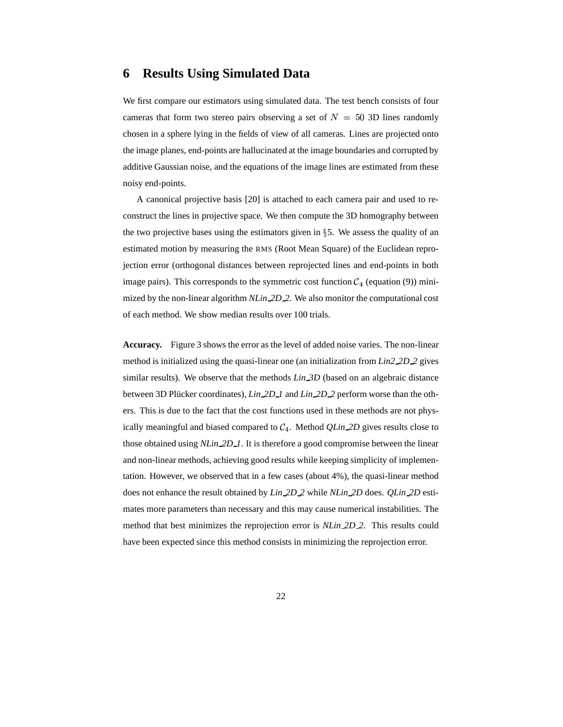#### **6 Results Using Simulated Data**

We first compare our estimators using simulated data. The test bench consists of four cameras that form two stereo pairs observing a set of  $N = 50$  3D lines randomly chosen in a sphere lying in the fields of view of all cameras. Lines are projected onto the image planes, end-points are hallucinated at the image boundaries and corrupted by additive Gaussian noise, and the equations of the image lines are estimated from these noisy end-points.

A canonical projective basis [20] is attached to each camera pair and used to reconstruct the lines in projective space. We then compute the 3D homography between the two projective bases using the estimators given in  $\S$ 5. We assess the quality of an estimated motion by measuring the RMS (Root Mean Square) of the Euclidean reprojection error (orthogonal distances between reprojected lines and end-points in both image pairs). This corresponds to the symmetric cost function  $C_4$  (equation (9)) minimized by the non-linear algorithm *NLin 2D 2*. We also monitor the computational cost of each method. We show median results over 100 trials.

**Accuracy.** Figure 3 shows the error as the level of added noise varies. The non-linear method is initialized using the quasi-linear one (an initialization from *Lin2 2D 2* gives similar results). We observe that the methods *Lin 3D* (based on an algebraic distance between 3D Plucker coordinates), *Lin* 2D 1 and *Lin* 2D 2 perform worse than the others. This is due to the fact that the cost functions used in these methods are not physically meaningful and biased compared to  $C_4$ . Method *QLin 2D* gives results close to those obtained using *NLin 2D 1*. It is therefore a good compromise between the linear and non-linear methods, achieving good results while keeping simplicity of implementation. However, we observed that in a few cases (about 4%), the quasi-linear method does not enhance the result obtained by *Lin 2D 2* while *NLin 2D* does. *QLin 2D* estimates more parameters than necessary and this may cause numerical instabilities. The method that best minimizes the reprojection error is *NLin 2D 2*. This results could have been expected since this method consists in minimizing the reprojection error.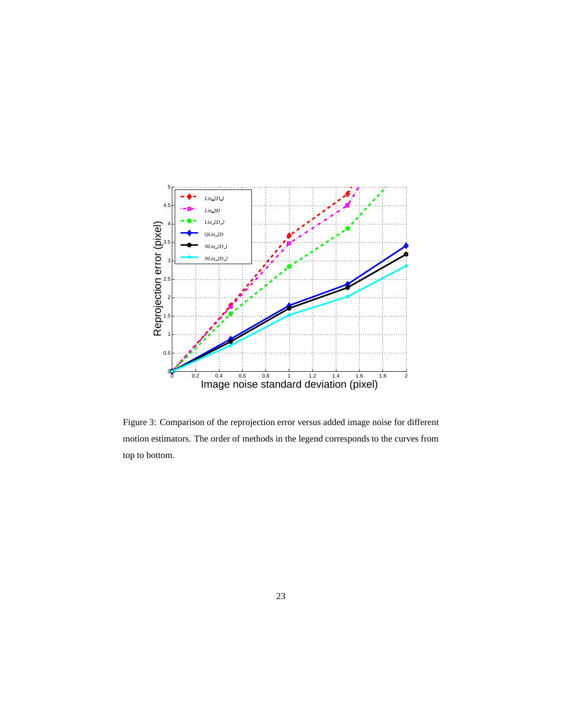

Figure 3: Comparison of the reprojection error versus added image noise for different motion estimators. The order of methods in the legend corresponds to the curves from top to bottom.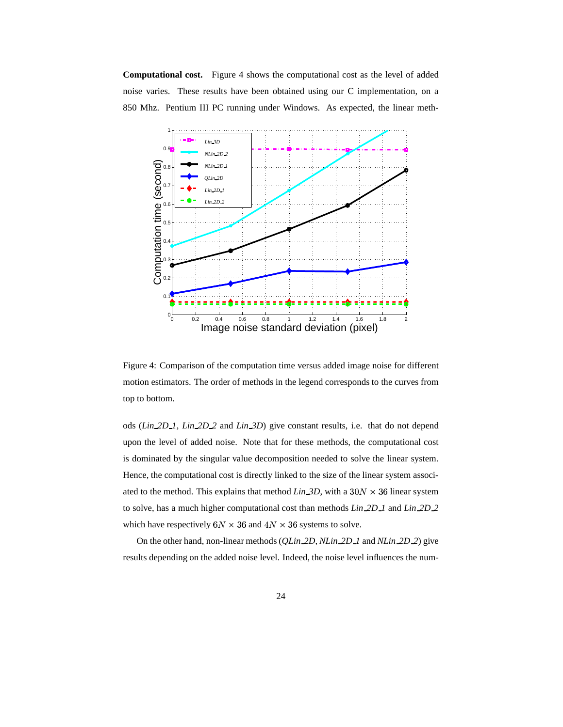**Computational cost.** Figure 4 shows the computational cost as the level of added noise varies. These results have been obtained using our C implementation, on a 850 Mhz. Pentium III PC running under Windows. As expected, the linear meth-



Figure 4: Comparison of the computation time versus added image noise for different motion estimators. The order of methods in the legend corresponds to the curves from top to bottom.

ods (*Lin 2D 1*, *Lin 2D 2* and *Lin 3D*) give constant results, i.e. that do not depend upon the level of added noise. Note that for these methods, the computational cost is dominated by the singular value decomposition needed to solve the linear system. Hence, the computational cost is directly linked to the size of the linear system associated to the method. This explains that method  $Lin_3D$ , with a  $30N \times 36$  linear system to solve, has a much higher computational cost than methods *Lin 2D 1* and *Lin 2D 2* which have respectively  $6N \times 36$  and  $4N \times 36$  systems to solve.

On the other hand, non-linear methods (*QLin 2D*, *NLin 2D 1* and *NLin 2D 2*) give results depending on the added noise level. Indeed, the noise level influences the num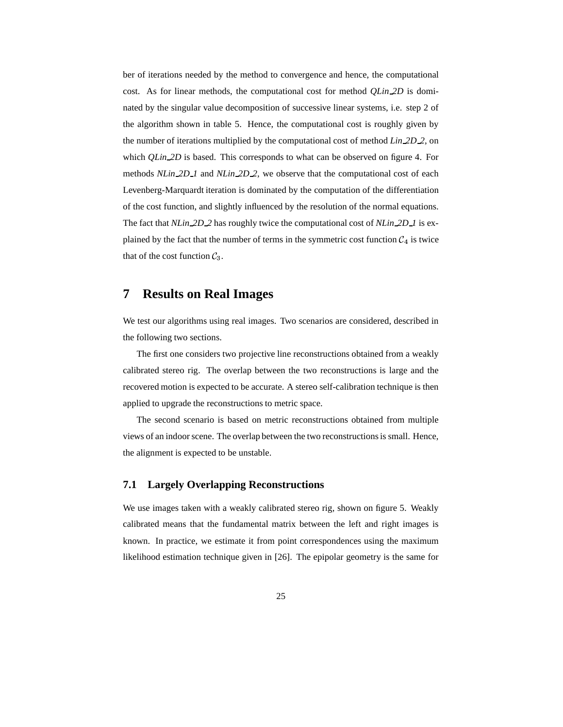ber of iterations needed by the method to convergence and hence, the computational cost. As for linear methods, the computational cost for method *QLin 2D* is dominated by the singular value decomposition of successive linear systems, i.e. step 2 of the algorithm shown in table 5. Hence, the computational cost is roughly given by the number of iterations multiplied by the computational cost of method *Lin 2D 2*, on which *QLin* 2D is based. This corresponds to what can be observed on figure 4. For methods *NLin 2D 1* and *NLin 2D 2*, we observe that the computational cost of each Levenberg-Marquardt iteration is dominated by the computation of the differentiation of the cost function, and slightly influenced by the resolution of the normal equations. The fact that *NLin 2D 2* has roughly twice the computational cost of *NLin 2D 1* is explained by the fact that the number of terms in the symmetric cost function  $\mathcal{C}_4$  is twice that of the cost function  $C_3$ .

### **7 Results on Real Images**

We test our algorithms using real images. Two scenarios are considered, described in the following two sections.

The first one considers two projective line reconstructions obtained from a weakly calibrated stereo rig. The overlap between the two reconstructions is large and the recovered motion is expected to be accurate. A stereo self-calibration technique is then applied to upgrade the reconstructions to metric space.

The second scenario is based on metric reconstructions obtained from multiple views of an indoorscene. The overlap between the two reconstructionsis small. Hence, the alignment is expected to be unstable.

#### **7.1 Largely Overlapping Reconstructions**

We use images taken with a weakly calibrated stereo rig, shown on figure 5. Weakly calibrated means that the fundamental matrix between the left and right images is known. In practice, we estimate it from point correspondences using the maximum likelihood estimation technique given in [26]. The epipolar geometry is the same for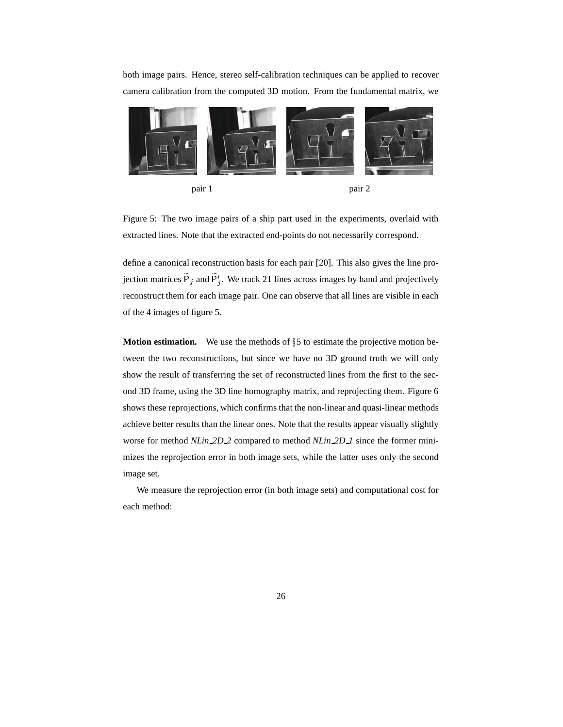both image pairs. Hence, stereo self-calibration techniques can be applied to recover camera calibration from the computed 3D motion. From the fundamental matrix, we



Figure 5: The two image pairs of a ship part used in the experiments, overlaid with extracted lines. Note that the extracted end-points do not necessarily correspond.

define a canonical reconstruction basis for each pair [20]. This also gives the line pro jection matrices  $\tilde{P}_i$  and  $\tilde{P}'_i$ . We track 21 lines across images by hand and projectively reconstruct them for each image pair. One can observe that all lines are visible in each of the 4 images of figure 5.

**Motion estimation.** We use the methods of §5 to estimate the projective motion between the two reconstructions, but since we have no 3D ground truth we will only show the result of transferring the set of reconstructed lines from the first to the second 3D frame, using the 3D line homography matrix, and reprojecting them. Figure 6 shows these reprojections, which confirms that the non-linear and quasi-linear methods achieve better results than the linear ones. Note that the results appear visually slightly worse for method *NLin 2D 2* compared to method *NLin 2D 1* since the former minimizes the reprojection error in both image sets, while the latter uses only the second image set.

We measure the reprojection error (in both image sets) and computational cost for each method: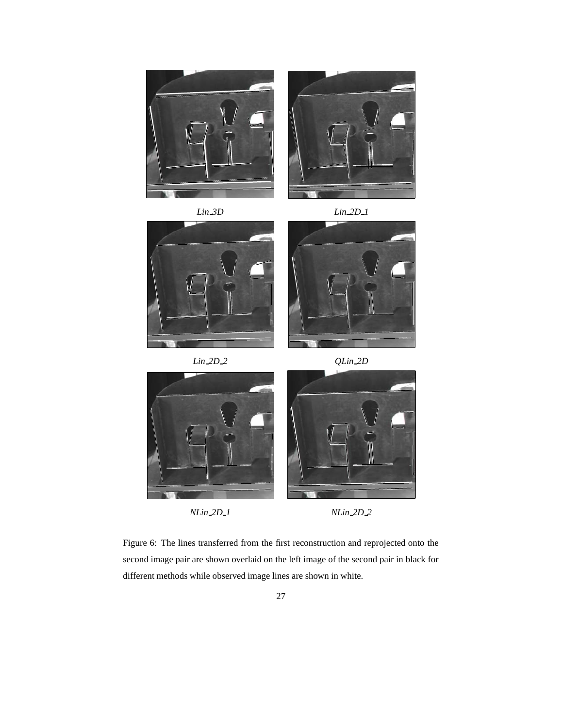











Figure 6: The lines transferred from the first reconstruction and reprojected onto the second image pair are shown overlaid on the left image of the second pair in black for different methods while observed image lines are shown in white.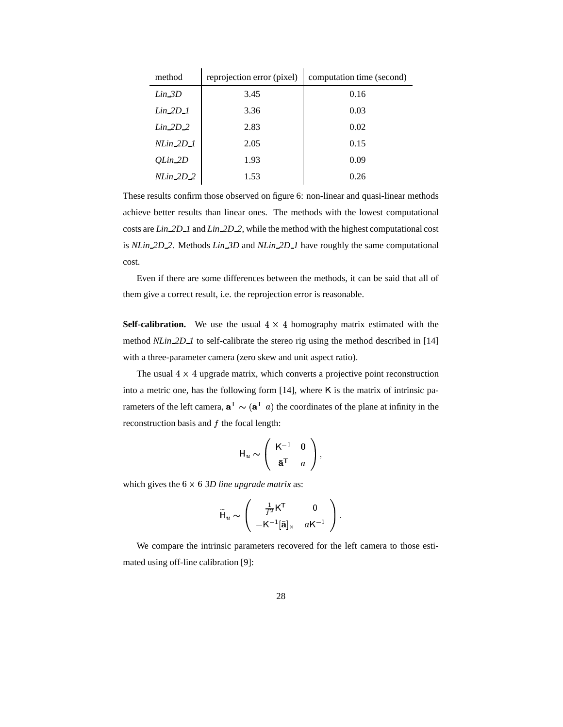| method       | reprojection error (pixel) | computation time (second) |  |  |
|--------------|----------------------------|---------------------------|--|--|
| $Lin_3D$     | 3.45                       | 0.16                      |  |  |
| $Lin_2D_1$   | 3.36                       | 0.03                      |  |  |
| $Lin_2D_2$   | 2.83                       | 0.02                      |  |  |
| $N Lin_2D_1$ | 2.05                       | 0.15                      |  |  |
| OLin_2D      | 1.93                       | 0.09                      |  |  |
| $N Lin_2D_2$ | 1.53                       | 0.26                      |  |  |

 $\mathbf{r}$ 

 $\mathbf{r}$ 

These results confirm those observed on figure 6: non-linear and quasi-linear methods achieve better results than linear ones. The methods with the lowest computational costs are *Lin 2D 1* and *Lin 2D 2*, while the method with the highest computational cost is *NLin 2D 2*. Methods *Lin 3D* and *NLin 2D 1* have roughly the same computational cost.

Even if there are some differences between the methods, it can be said that all of them give a correct result, i.e. the reprojection error is reasonable.

**Self-calibration.** We use the usual  $4 \times 4$  homography matrix estimated with the method *NLin* 2D<sub>1</sub> to self-calibrate the stereo rig using the method described in [14] with a three-parameter camera (zero skew and unit aspect ratio).

The usual  $4 \times 4$  upgrade matrix, which converts a projective point reconstruction into a metric one, has the following form  $[14]$ , where K is the matrix of intrinsic parameters of the left camera,  $\mathbf{a}^T \sim (\bar{\mathbf{a}}^T a)$  the coordinates of the plane at infinity in the reconstruction basis and  $f$  the focal length:

$$
\mathsf{H}_u \sim \left( \begin{array}{cc} \mathsf{K}^{-1} & \mathbf{0} \\ \bar{\mathbf{a}}^{\mathsf{T}} & a \end{array} \right),
$$

which gives the  $6 \times 6$  *3D line upgrade matrix* as:

$$
\widetilde{\mathsf{H}}_u \sim \left( \begin{array}{cc} \frac{1}{f^2} \mathsf{K}^\mathsf{T} & 0 \\ -\mathsf{K}^{-1} [\bar{\mathbf{a}}]_{\times} & a \mathsf{K}^{-1} \end{array} \right).
$$

We compare the intrinsic parameters recovered for the left camera to those estimated using off-line calibration [9]: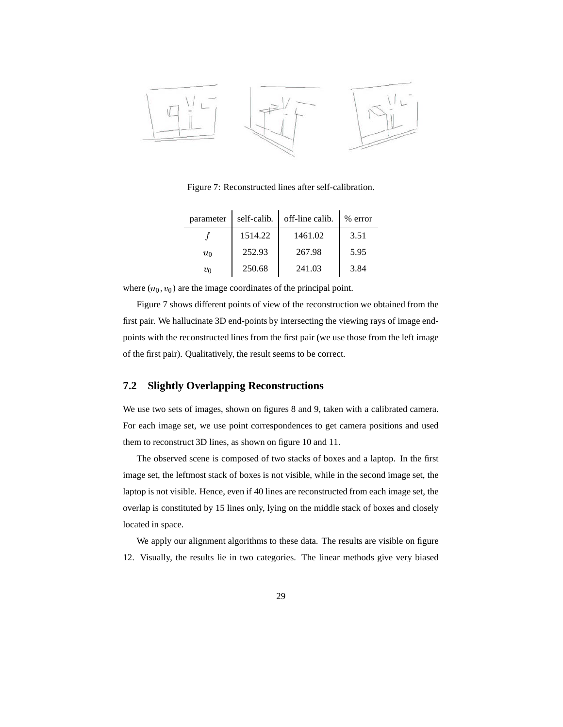

Figure 7: Reconstructed lines after self-calibration.

| parameter | self-calib. | off-line calib. | $%$ error |
|-----------|-------------|-----------------|-----------|
|           | 1514.22     | 1461.02         | 3.51      |
| $u_0$     | 252.93      | 267.98          | 5.95      |
| υo        | 250.68      | 241.03          | 3.84      |

where  $(u_0, v_0)$  are the image coordinates of the principal point.

Figure 7 shows different points of view of the reconstruction we obtained from the first pair. We hallucinate 3D end-points by intersecting the viewing rays of image endpoints with the reconstructed lines from the first pair (we use those from the left image of the first pair). Qualitatively, the result seems to be correct.

#### **7.2 Slightly Overlapping Reconstructions**

We use two sets of images, shown on figures 8 and 9, taken with a calibrated camera. For each image set, we use point correspondences to get camera positions and used them to reconstruct 3D lines, as shown on figure 10 and 11.

The observed scene is composed of two stacks of boxes and a laptop. In the first image set, the leftmost stack of boxes is not visible, while in the second image set, the laptop is not visible. Hence, even if 40 lines are reconstructed from each image set, the overlap is constituted by 15 lines only, lying on the middle stack of boxes and closely located in space.

We apply our alignment algorithms to these data. The results are visible on figure 12. Visually, the results lie in two categories. The linear methods give very biased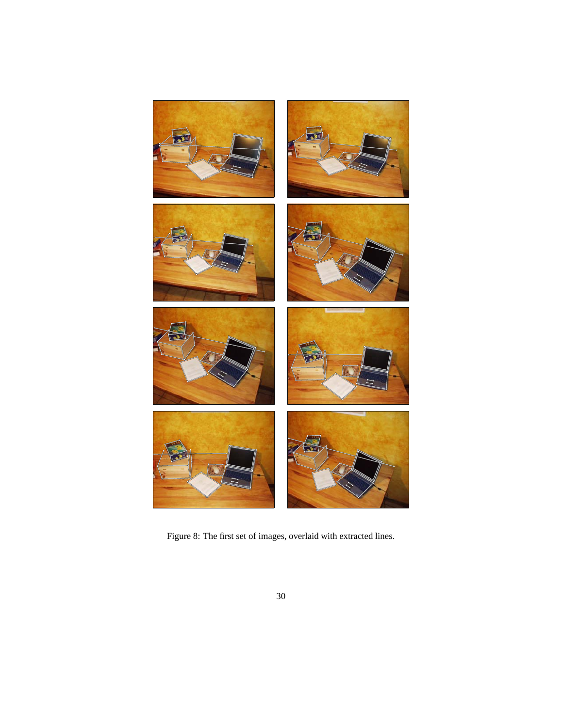

Figure 8: The first set of images, overlaid with extracted lines.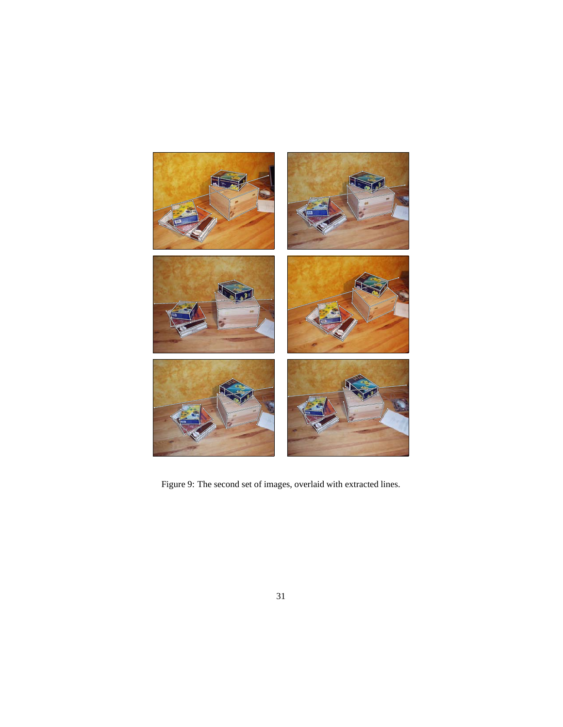

Figure 9: The second set of images, overlaid with extracted lines.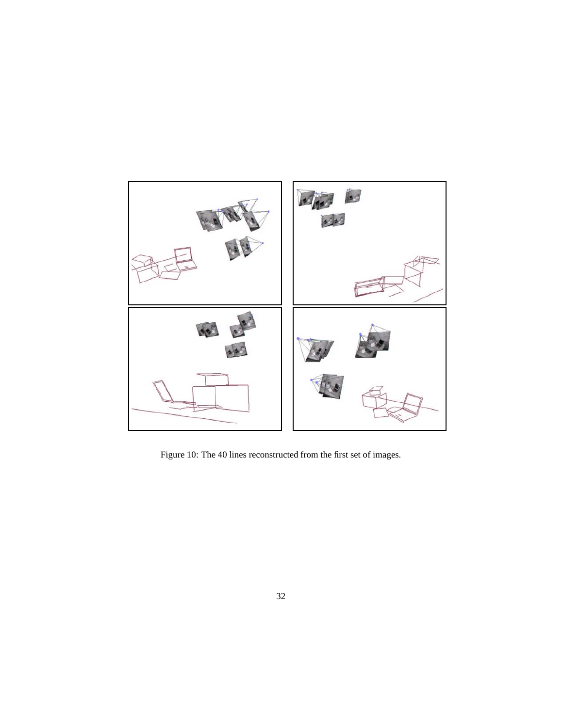

Figure 10: The 40 lines reconstructed from the first set of images.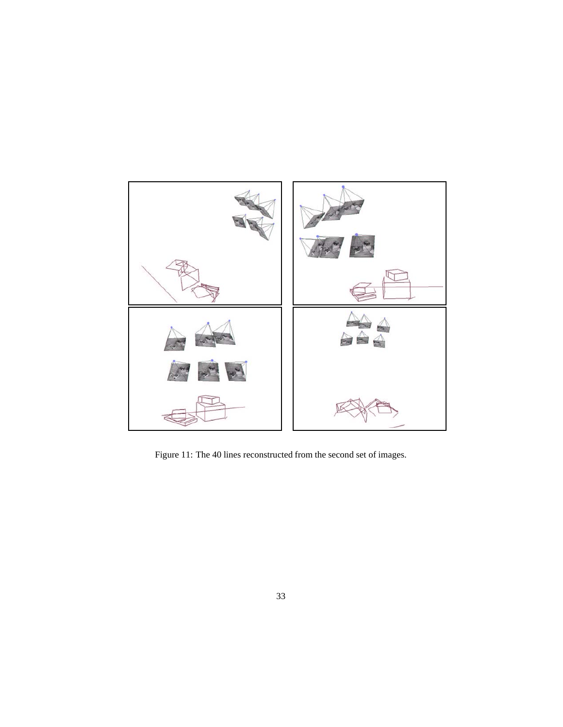

Figure 11: The 40 lines reconstructed from the second set of images.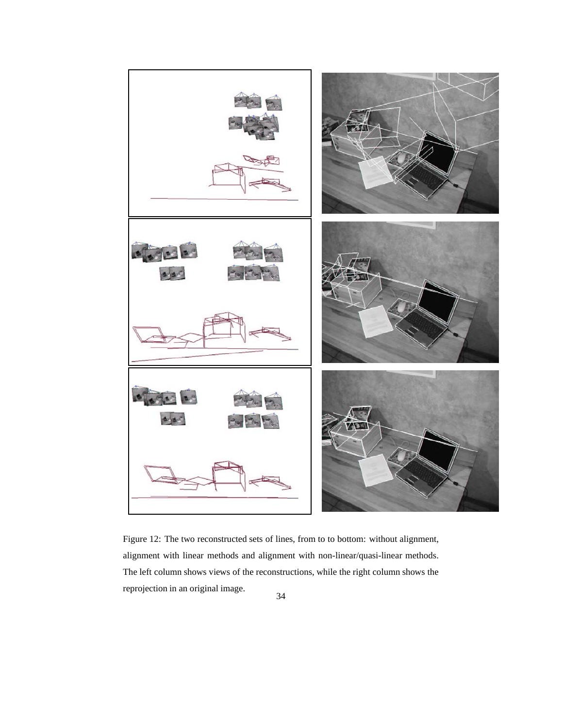

Figure 12: The two reconstructed sets of lines, from to to bottom: without alignment, alignment with linear methods and alignment with non-linear/quasi-linear methods. The left column shows views of the reconstructions, while the right column shows the reprojection in an original image.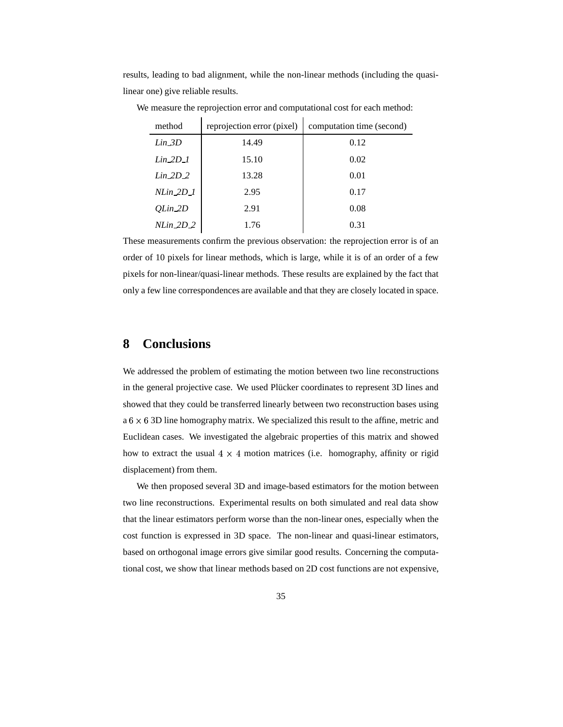results, leading to bad alignment, while the non-linear methods (including the quasilinear one) give reliable results.

 $\overline{1}$ 

| method       | reprojection error (pixel) | computation time (second) |
|--------------|----------------------------|---------------------------|
| $Lin_3D$     | 14.49                      | 0.12                      |
| $Lin 2D_1$   | 15.10                      | 0.02                      |
| $Lin_2D_2$   | 13.28                      | 0.01                      |
| $N Lin_2D_1$ | 2.95                       | 0.17                      |
| OLin 2D      | 2.91                       | 0.08                      |
| $NLin_2D_2$  | 1.76                       | 0.31                      |

We measure the reprojection error and computational cost for each method:

 $\overline{1}$ 

These measurements confirm the previous observation: the reprojection error is of an order of 10 pixels for linear methods, which is large, while it is of an order of a few pixels for non-linear/quasi-linear methods. These results are explained by the fact that only a few line correspondences are available and that they are closely located in space.

## **8 Conclusions**

We addressed the problem of estimating the motion between two line reconstructions in the general projective case. We used Plücker coordinates to represent 3D lines and showed that they could be transferred linearly between two reconstruction bases using  $a 6 \times 6 3D$  line homography matrix. We specialized this result to the affine, metric and Euclidean cases. We investigated the algebraic properties of this matrix and showed how to extract the usual  $4 \times 4$  motion matrices (i.e. homography, affinity or rigid displacement) from them.

We then proposed several 3D and image-based estimators for the motion between two line reconstructions. Experimental results on both simulated and real data show that the linear estimators perform worse than the non-linear ones, especially when the cost function is expressed in 3D space. The non-linear and quasi-linear estimators, based on orthogonal image errors give similar good results. Concerning the computational cost, we show that linear methods based on 2D cost functions are not expensive,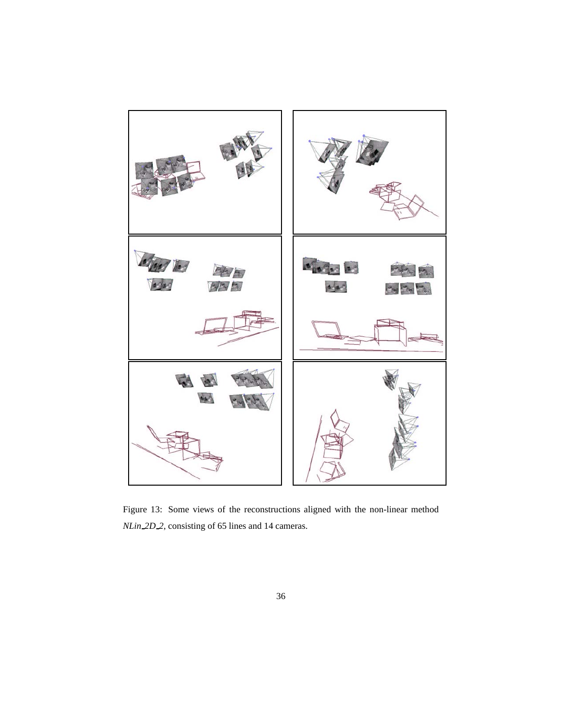

Figure 13: Some views of the reconstructions aligned with the non-linear method *NLin 2D 2*, consisting of 65 lines and 14 cameras.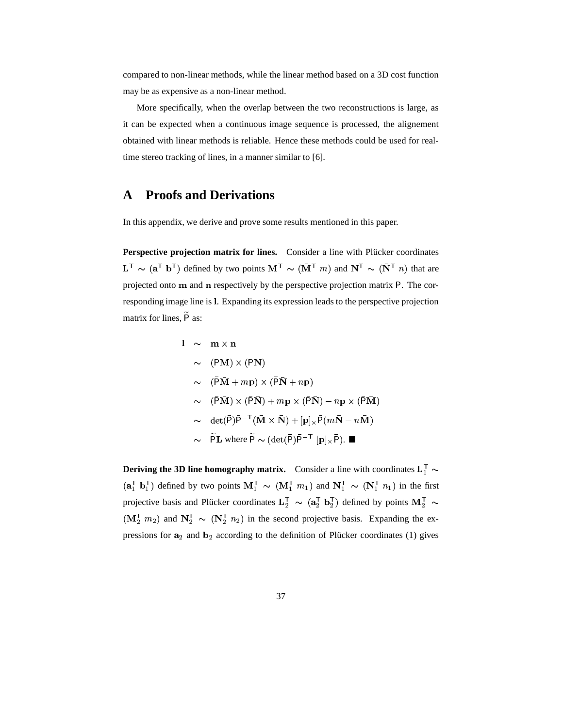compared to non-linear methods, while the linear method based on a 3D cost function may be as expensive as a non-linear method.

More specifically, when the overlap between the two reconstructions is large, as it can be expected when a continuous image sequence is processed, the alignement obtained with linear methods is reliable. Hence these methods could be used for realtime stereo tracking of lines, in a manner similar to [6].

# **A Proofs and Derivations**

In this appendix, we derive and prove some results mentioned in this paper.

**Perspective projection matrix for lines.** Consider a line with Plücker coordinates  $\sim$  ( $\mathbf{a}^{\mathsf{T}}$  b<sup>T</sup>) defined by two points  $\mathbf{M}^{\mathsf{T}} \sim (\bar{\mathbf{M}}^{\mathsf{T}} m)$  and  $\mathbf{N}^{\mathsf{T}}$  $\sim (\bar{M}^T m)$  and  $N^T \sim (\bar{N}^T n)$  that  $\sim (\bar{N}^{\dagger} n)$  that are projected onto  $\bf{m}$  and  $\bf{n}$  respectively by the perspective projection matrix  $\bf{P}$ . The corresponding image line is l. Expanding its expression leads to the perspective projection matrix for lines,  $\widetilde{P}$  as:

1 ~ m × n  
\n~ (PM) × (PN)  
\n~ (P
$$
\overline{M}
$$
 + m $\overline{p}$ ) × (P $\overline{N}$  + n $\overline{p}$ )  
\n~ (P $\overline{M}$ ) × (P $\overline{N}$ ) + m $\overline{p}$  × (P $\overline{N}$ ) - n $\overline{p}$  × (P $\overline{M}$ )  
\n~ det(P) $\overline{p}$ <sup>-T</sup>( $\overline{M}$  ×  $\overline{N}$ ) + [p]<sub>x</sub>P(m $\overline{N}$  - n $\overline{M}$ )  
\n~ P $\overline{p}$  where  $\overline{p}$  ~ (det( $\overline{p}$ ) $\overline{p}$ <sup>-T</sup> [p]<sub>x</sub> $\overline{p}$ ). ■

**Deriving the 3D line homography matrix.** Consider a line with coordinates  $L_1^T \sim$ +  $\begin{bmatrix} 1 & b_1^{\mathsf{T}} \end{bmatrix}$  defined by two points  $M_1^{\mathsf{T}} \sim (\bar{M}_1^{\mathsf{T}} m_1)$  and  $N_1^{\mathsf{T}} \sim (\bar{N}_1^{\mathsf{T}} n_1)$  in the first projective basis and Plücker coordinates  $\mathbf{L}_2^{\mathsf{T}} \sim (\mathbf{a}_2^{\mathsf{T}} \mathbf{b}_2^{\mathsf{T}})$  $\sqrt{ }$   $\sqrt{ }$   $\sqrt{ }$   $\sqrt{ }$   $\sqrt{ }$   $\sqrt{ }$   $\sqrt{ }$   $\sqrt{ }$   $\sqrt{ }$   $\sqrt{ }$   $\sqrt{ }$   $\sqrt{ }$   $\sqrt{ }$   $\sqrt{ }$   $\sqrt{ }$   $\sqrt{ }$   $\sqrt{ }$   $\sqrt{ }$   $\sqrt{ }$   $\sqrt{ }$   $\sqrt{ }$   $\sqrt{ }$   $\sqrt{ }$   $\sqrt{ }$   $\sqrt{ }$   $\sqrt{ }$   $\sqrt{ }$   $\sqrt{ }$   $\sqrt{ }$   $\sqrt{ }$   $\sqrt{ }$   $\sqrt{$  $(\frac{1}{2} \mathbf{b}_2^{\mathsf{T}})$  defined by points  $\mathbf{M}_2^{\mathsf{T}} \sim$ #  $(\bar{\mathbf{M}}_2^{\mathsf{T}} \ m_2)$  and  $\mathbf{N}_2^{\mathsf{T}} \sim (\bar{\mathbf{N}}_2^{\mathsf{T}} \ n_2)$  in the second projective basis. Expanding the expressions for  $a_2$  and  $b_2$  according to the definition of Plücker coordinates (1) gives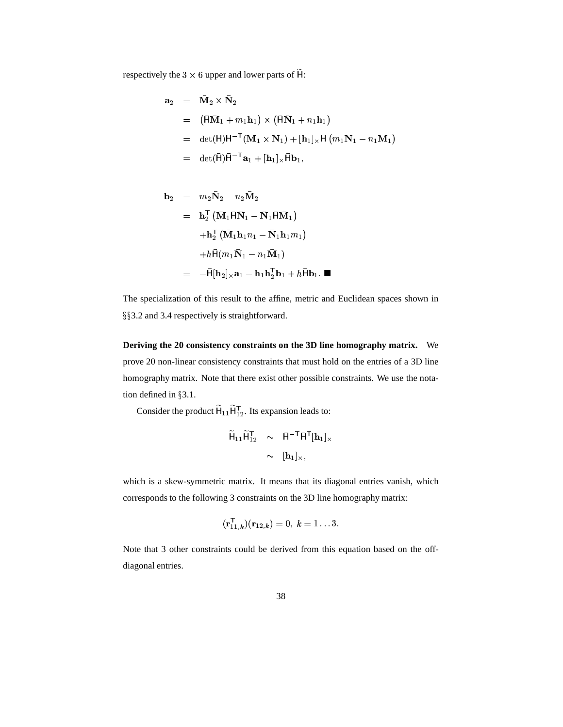respectively the 3  $\times$  6 upper and lower parts of  $\widetilde{H}$ :

$$
\mathbf{a}_2 = \bar{\mathbf{M}}_2 \times \bar{\mathbf{N}}_2
$$
  
\n
$$
= (\bar{\mathbf{H}}\bar{\mathbf{M}}_1 + m_1\mathbf{h}_1) \times (\bar{\mathbf{H}}\bar{\mathbf{N}}_1 + n_1\mathbf{h}_1)
$$
  
\n
$$
= \det(\bar{\mathbf{H}})\bar{\mathbf{H}}^{-T}(\bar{\mathbf{M}}_1 \times \bar{\mathbf{N}}_1) + [\mathbf{h}_1] \times \bar{\mathbf{H}} (m_1\bar{\mathbf{N}}_1 - n_1\bar{\mathbf{M}}_1)
$$
  
\n
$$
= \det(\bar{\mathbf{H}})\bar{\mathbf{H}}^{-T}\mathbf{a}_1 + [\mathbf{h}_1] \times \bar{\mathbf{H}}\mathbf{b}_1,
$$

$$
\mathbf{b}_2 = m_2 \overline{\mathbf{N}}_2 - n_2 \overline{\mathbf{M}}_2
$$
  
\n
$$
= \mathbf{h}_2^{\mathsf{T}} (\overline{\mathbf{M}}_1 \overline{\mathbf{H}} \overline{\mathbf{N}}_1 - \overline{\mathbf{N}}_1 \overline{\mathbf{H}} \overline{\mathbf{M}}_1)
$$
  
\n
$$
+ \mathbf{h}_2^{\mathsf{T}} (\overline{\mathbf{M}}_1 \mathbf{h}_1 n_1 - \overline{\mathbf{N}}_1 \mathbf{h}_1 m_1)
$$
  
\n
$$
+ h \overline{\mathbf{H}} (m_1 \overline{\mathbf{N}}_1 - n_1 \overline{\mathbf{M}}_1)
$$
  
\n
$$
= -\overline{\mathbf{H}} [\mathbf{h}_2]_{\times} \mathbf{a}_1 - \mathbf{h}_1 \mathbf{h}_2^{\mathsf{T}} \mathbf{b}_1 + h \overline{\mathbf{H}} \mathbf{b}_1.
$$

The specialization of this result to the affine, metric and Euclidean spaces shown in §§3.2 and 3.4 respectively is straightforward.

**Deriving the 20 consistency constraints on the 3D line homography matrix.** We prove 20 non-linear consistency constraints that must hold on the entries of a 3D line homography matrix. Note that there exist other possible constraints. We use the notation defined in 3.1.

Consider the product  $\widetilde{H}_{11} \widetilde{H}_{12}^T$ . Its ex ; ;  $I<sub>12</sub>$ . Its expansion leads to:

$$
\widetilde{H}_{11}\widetilde{H}_{12}^{\mathsf{T}} \sim \overline{H}^{-\mathsf{T}}\overline{H}^{\mathsf{T}}[h_1]_{\times} \sim [h_1]_{\times},
$$

which is a skew-symmetric matrix. It means that its diagonal entries vanish, which corresponds to the following 3 constraints on the 3D line homography matrix:

$$
({\bf r}_{11.k}^{\sf T})( {\bf r}_{12,k})=0, \ k=1 \ldots 3.
$$

Note that 3 other constraints could be derived from this equation based on the offdiagonal entries.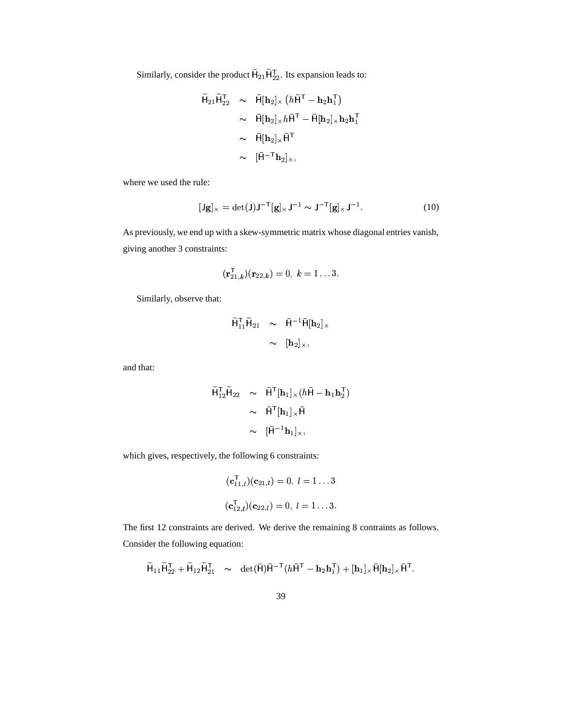Similarly, consider the product  $\widetilde{\mathsf{H}}_{21} \widetilde{\mathsf{H}}_{22}^{\mathsf{T}}$ . Its expar  $_{22}^{\mathsf{T}}$ . Its expansion leads to:

$$
\widetilde{\mathsf{H}}_{21}\widetilde{\mathsf{H}}_{22}^{T} \sim \widetilde{\mathsf{H}}[\mathbf{h}_{2}]_{\times} (h\widetilde{\mathsf{H}}^{T} - \mathbf{h}_{2}\mathbf{h}_{1}^{T})
$$
\n
$$
\sim \widetilde{\mathsf{H}}[\mathbf{h}_{2}]_{\times}h\widetilde{\mathsf{H}}^{T} - \widetilde{\mathsf{H}}[\mathbf{h}_{2}]_{\times}\mathbf{h}_{2}\mathbf{h}_{1}^{T}
$$
\n
$$
\sim \widetilde{\mathsf{H}}[\mathbf{h}_{2}]_{\times}\widetilde{\mathsf{H}}^{T}
$$
\n
$$
\sim [\widetilde{\mathsf{H}}^{-T}\mathbf{h}_{2}]_{\times},
$$

where we used the rule:

$$
[\mathbf{J}\mathbf{g}]_{\times} = \det(\mathbf{J})\mathbf{J}^{-T}[\mathbf{g}]_{\times}\mathbf{J}^{-1} \sim \mathbf{J}^{-T}[\mathbf{g}]_{\times}\mathbf{J}^{-1}.
$$
 (10)

As previously, we end up with a skew-symmetric matrix whose diagonal entries vanish, giving another 3 constraints:

$$
(\mathbf{r}_{21,k}^{\mathsf{T}})(\mathbf{r}_{22,k})=0, \ k=1 \ldots 3.
$$

Similarly, observe that:

$$
\widetilde{\mathsf{H}}_{11}^{\mathsf{T}} \widetilde{\mathsf{H}}_{21} \sim \widetilde{\mathsf{H}}^{-1} \widetilde{\mathsf{H}}[\mathbf{h}_2]_{\times} \sim [\mathbf{h}_2]_{\times},
$$

and that:

$$
\widetilde{H}_{12}^{\mathsf{T}}\widetilde{H}_{22} \sim \widetilde{H}^{\mathsf{T}}[\mathbf{h}_1]_{\times}(h\bar{\mathsf{H}} - \mathbf{h}_1\mathbf{h}_2^{\mathsf{T}})
$$
\n
$$
\sim \widetilde{H}^{\mathsf{T}}[\mathbf{h}_1]_{\times}\bar{\mathsf{H}}
$$
\n
$$
\sim [\bar{\mathsf{H}}^{-1}\mathbf{h}_1]_{\times},
$$

which gives, respectively, the following 6 constraints:

$$
(\mathbf{c}_{11,l}^{\mathsf{T}})(\mathbf{c}_{21,l}) = 0, l = 1...3
$$
  

$$
(\mathbf{c}_{12,l}^{\mathsf{T}})(\mathbf{c}_{22,l}) = 0, l = 1...3.
$$

The first 12 constraints are derived. We derive the remaining 8 contraints as follows. Consider the following equation:

$$
\widetilde{\mathsf{H}}_{11} \widetilde{\mathsf{H}}_{22}^{\mathsf{T}} + \widetilde{\mathsf{H}}_{12} \widetilde{\mathsf{H}}_{21}^{\mathsf{T}} \quad \sim \quad \mathrm{det}(\bar{\mathsf{H}}) \bar{\mathsf{H}}^{-\mathsf{T}} (h \bar{\mathsf{H}}^{\mathsf{T}} - \mathbf{h}_2 \mathbf{h}_1^{\mathsf{T}}) + [\mathbf{h}_1]_{\times} \bar{\mathsf{H}} [\mathbf{h}_2]_{\times} \bar{\mathsf{H}}^{\mathsf{T}}.
$$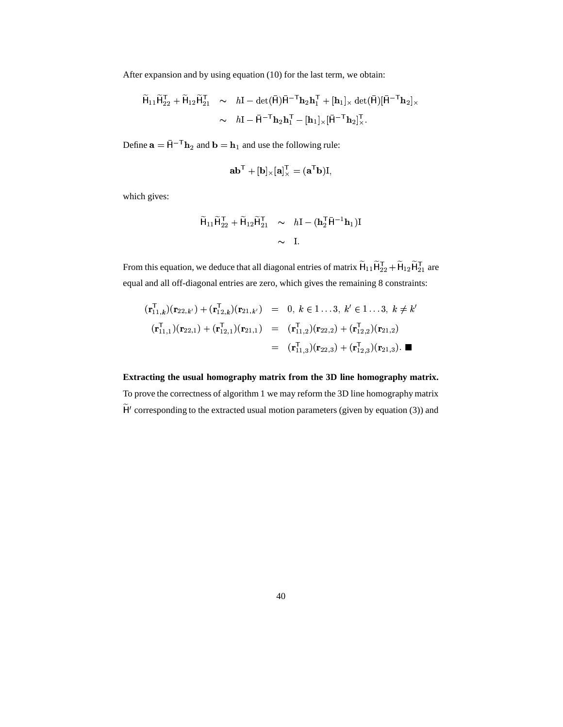After expansion and by using equation (10) for the last term, we obtain:

$$
\widetilde{\mathsf{H}}_{11}\widetilde{\mathsf{H}}_{22}^{\mathsf{T}} + \widetilde{\mathsf{H}}_{12}\widetilde{\mathsf{H}}_{21}^{\mathsf{T}} \sim h\mathbf{I} - \det(\bar{\mathsf{H}})\bar{\mathsf{H}}^{-\mathsf{T}}\mathbf{h}_2\mathbf{h}_1^{\mathsf{T}} + [\mathbf{h}_1]_{\times} \det(\bar{\mathsf{H}})[\bar{\mathsf{H}}^{-\mathsf{T}}\mathbf{h}_2]_{\times} \sim h\mathbf{I} - \bar{\mathsf{H}}^{-\mathsf{T}}\mathbf{h}_2\mathbf{h}_1^{\mathsf{T}} - [\mathbf{h}_1]_{\times}[\bar{\mathsf{H}}^{-\mathsf{T}}\mathbf{h}_2]_{\times}^{\mathsf{T}}.
$$

Define  $\mathbf{a} = \bar{\mathbf{H}}^{-T} \mathbf{h}_2$  and  $\mathbf{b} = \mathbf{h}_1$  and use the following rule:

$$
\mathbf a \mathbf b^\mathsf{T} + [\mathbf b]_\times [\mathbf a]_\times^\mathsf{T} = (\mathbf a^\mathsf{T} \mathbf b) \mathbf I,
$$

which gives:

$$
\widetilde{\mathsf{H}}_{11}\widetilde{\mathsf{H}}_{22}^{\mathsf{T}} + \widetilde{\mathsf{H}}_{12}\widetilde{\mathsf{H}}_{21}^{\mathsf{T}} \sim h\mathbf{I} - (\mathbf{h}_2^{\mathsf{T}}\bar{\mathsf{H}}^{-1}\mathbf{h}_1)\mathbf{I}
$$

$$
\sim \mathbf{I}.
$$

From this equation, we deduce that all diagonal entries of matrix  $\widetilde{\sf H}_{11}\widetilde{\sf H}_{22}^{\sf T}$  +  $\widetilde{\sf H}_{12}$ ; ; . . . . . . . # #  $_{12}$ H $_{21}^{T}$  are and the contract of the contract of the contract of the contract of the contract of the contract of the contract of the contract of the contract of the contract of the contract of the contract of the contract of the contra #  $_1$  are equal and all off-diagonal entries are zero, which gives the remaining 8 constraints:

$$
(\mathbf{r}_{11,k}^{\mathsf{T}})(\mathbf{r}_{22,k'}) + (\mathbf{r}_{12,k}^{\mathsf{T}})(\mathbf{r}_{21,k'}) = 0, k \in 1...3, k' \in 1...3, k \neq k'
$$
  

$$
(\mathbf{r}_{11,1}^{\mathsf{T}})(\mathbf{r}_{22,1}) + (\mathbf{r}_{12,1}^{\mathsf{T}})(\mathbf{r}_{21,1}) = (\mathbf{r}_{11,2}^{\mathsf{T}})(\mathbf{r}_{22,2}) + (\mathbf{r}_{12,2}^{\mathsf{T}})(\mathbf{r}_{21,2})
$$
  

$$
= (\mathbf{r}_{11,3}^{\mathsf{T}})(\mathbf{r}_{22,3}) + (\mathbf{r}_{12,3}^{\mathsf{T}})(\mathbf{r}_{21,3}). \blacksquare
$$

**Extracting the usual homography matrix from the 3D line homography matrix.** To prove the correctness of algorithm 1 we may reform the 3D line homography matrix  $H'$  corresponding to the extracted usual motion parameters (given by equation (3)) and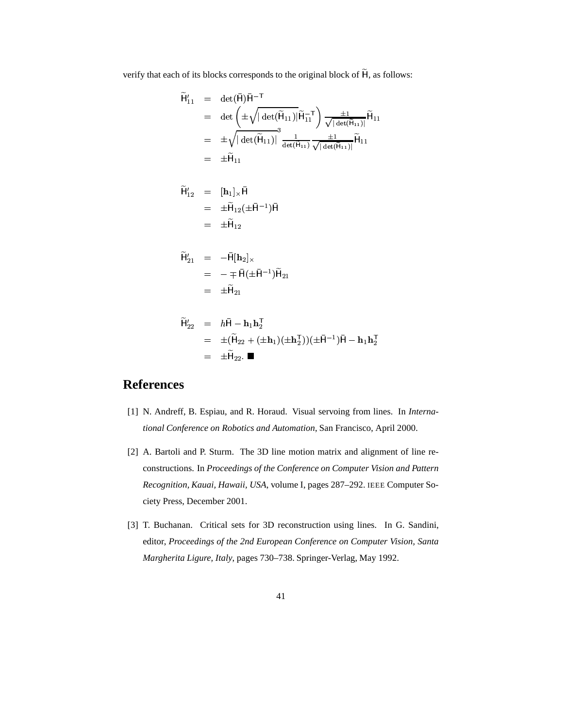verify that each of its blocks corresponds to the original block of  $\widetilde{H}$ , as follows:

$$
\widetilde{H}'_{11} = \det(\bar{H})\bar{H}^{-T}
$$
\n
$$
= \det \left( \pm \sqrt{|\det(\widetilde{H}_{11})|} \widetilde{H}_{11}^{-T} \right) \frac{\pm 1}{\sqrt{|\det(\widetilde{H}_{11})|}} \widetilde{H}_{11}
$$
\n
$$
= \pm \sqrt{|\det(\widetilde{H}_{11})|}^3 \frac{1}{\det(\widetilde{H}_{11})} \frac{\pm 1}{\sqrt{|\det(\widetilde{H}_{11})|}} \widetilde{H}_{11}
$$
\n
$$
= \pm \widetilde{H}_{11}
$$

$$
\widetilde{H}'_{12} = [\mathbf{h}_1]_{\times} \bar{\mathbf{H}}
$$
  
=  $\pm \widetilde{\mathbf{H}}_{12} (\pm \bar{\mathbf{H}}^{-1}) \bar{\mathbf{H}}$   
=  $\pm \widetilde{\mathbf{H}}_{12}$ 

$$
\widetilde{H}'_{21} = -\overline{H}[\mathbf{h}_2]_{\times} \n= - \mp \overline{H}(\pm \overline{H}^{-1})\widetilde{H}_{21} \n= \pm \widetilde{H}_{21}
$$

#

$$
\tilde{H}_{22}' = h\bar{H} - \mathbf{h}_1 \mathbf{h}_2^T \n= \pm (\tilde{H}_{22} + (\pm \mathbf{h}_1)(\pm \mathbf{h}_2^T))(\pm \bar{H}^{-1})\bar{H} - \mathbf{h}_1 \mathbf{h}_2^T \n= \pm \tilde{H}_{22}. \blacksquare
$$

# **References**

- [1] N. Andreff, B. Espiau, and R. Horaud. Visual servoing from lines. In *International Conference on Robotics and Automation*, San Francisco, April 2000.
- [2] A. Bartoli and P. Sturm. The 3D line motion matrix and alignment of line reconstructions. In *Proceedings of the Conference on Computer Vision and Pattern Recognition, Kauai, Hawaii, USA*, volume I, pages 287–292. IEEE Computer Society Press, December 2001.
- [3] T. Buchanan. Critical sets for 3D reconstruction using lines. In G. Sandini, editor, *Proceedings of the 2nd European Conference on Computer Vision, Santa Margherita Ligure, Italy*, pages 730–738. Springer-Verlag, May 1992.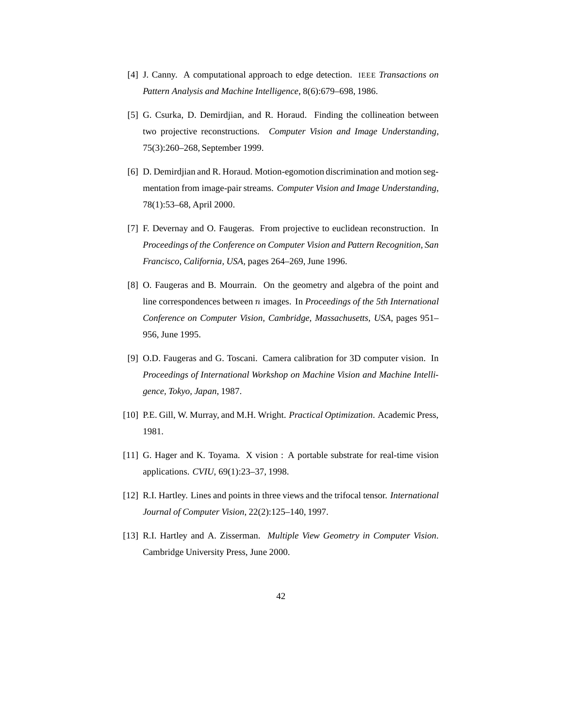- [4] J. Canny. A computational approach to edge detection. IEEE *Transactions on Pattern Analysis and Machine Intelligence*, 8(6):679–698, 1986.
- [5] G. Csurka, D. Demirdjian, and R. Horaud. Finding the collineation between two projective reconstructions. *Computer Vision and Image Understanding*, 75(3):260–268, September 1999.
- [6] D. Demirdjian and R. Horaud. Motion-egomotion discrimination and motion segmentation from image-pair streams. *Computer Vision and Image Understanding*, 78(1):53–68, April 2000.
- [7] F. Devernay and O. Faugeras. From projective to euclidean reconstruction. In *Proceedings of the Conference on Computer Vision and Pattern Recognition, San Francisco, California, USA*, pages 264–269, June 1996.
- [8] O. Faugeras and B. Mourrain. On the geometry and algebra of the point and line correspondences between  $n$  images. In *Proceedings of the 5th International Conference on Computer Vision, Cambridge, Massachusetts, USA*, pages 951– 956, June 1995.
- [9] O.D. Faugeras and G. Toscani. Camera calibration for 3D computer vision. In *Proceedings of International Workshop on Machine Vision and Machine Intelligence, Tokyo, Japan*, 1987.
- [10] P.E. Gill, W. Murray, and M.H. Wright. *Practical Optimization*. Academic Press, 1981.
- [11] G. Hager and K. Toyama. X vision : A portable substrate for real-time vision applications. *CVIU*, 69(1):23–37, 1998.
- [12] R.I. Hartley. Lines and points in three views and the trifocal tensor. *International Journal of Computer Vision*, 22(2):125–140, 1997.
- [13] R.I. Hartley and A. Zisserman. *Multiple View Geometry in Computer Vision*. Cambridge University Press, June 2000.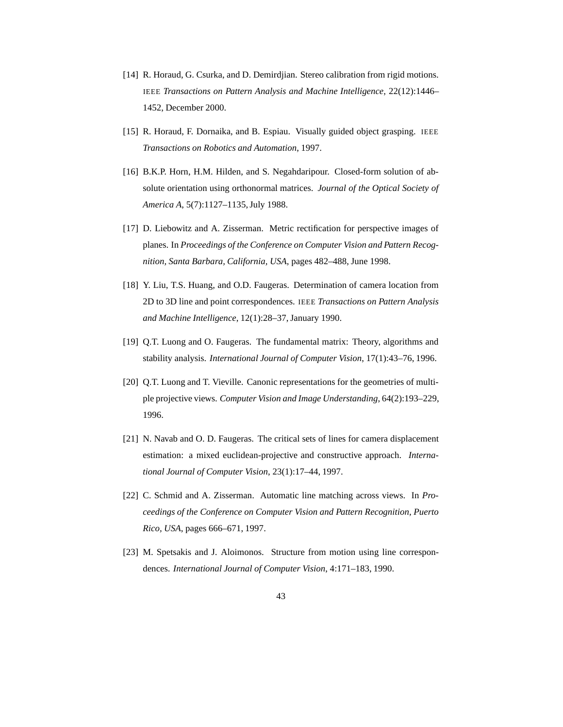- [14] R. Horaud, G. Csurka, and D. Demirdjian. Stereo calibration from rigid motions. IEEE *Transactions on Pattern Analysis and Machine Intelligence*, 22(12):1446– 1452, December 2000.
- [15] R. Horaud, F. Dornaika, and B. Espiau. Visually guided object grasping. IEEE *Transactions on Robotics and Automation*, 1997.
- [16] B.K.P. Horn, H.M. Hilden, and S. Negahdaripour. Closed-form solution of absolute orientation using orthonormal matrices. *Journal of the Optical Society of America A*, 5(7):1127–1135,July 1988.
- [17] D. Liebowitz and A. Zisserman. Metric rectification for perspective images of planes. In *Proceedings of the Conference on Computer Vision and Pattern Recognition, Santa Barbara, California, USA*, pages 482–488, June 1998.
- [18] Y. Liu, T.S. Huang, and O.D. Faugeras. Determination of camera location from 2D to 3D line and point correspondences. IEEE *Transactions on Pattern Analysis and Machine Intelligence*, 12(1):28–37, January 1990.
- [19] Q.T. Luong and O. Faugeras. The fundamental matrix: Theory, algorithms and stability analysis. *International Journal of Computer Vision*, 17(1):43–76, 1996.
- [20] Q.T. Luong and T. Vieville. Canonic representations for the geometries of multiple projective views. *Computer Vision and Image Understanding*, 64(2):193–229, 1996.
- [21] N. Navab and O. D. Faugeras. The critical sets of lines for camera displacement estimation: a mixed euclidean-projective and constructive approach. *International Journal of Computer Vision*, 23(1):17–44, 1997.
- [22] C. Schmid and A. Zisserman. Automatic line matching across views. In *Proceedings of the Conference on Computer Vision and Pattern Recognition, Puerto Rico, USA*, pages 666–671, 1997.
- [23] M. Spetsakis and J. Aloimonos. Structure from motion using line correspondences. *International Journal of Computer Vision*, 4:171–183, 1990.